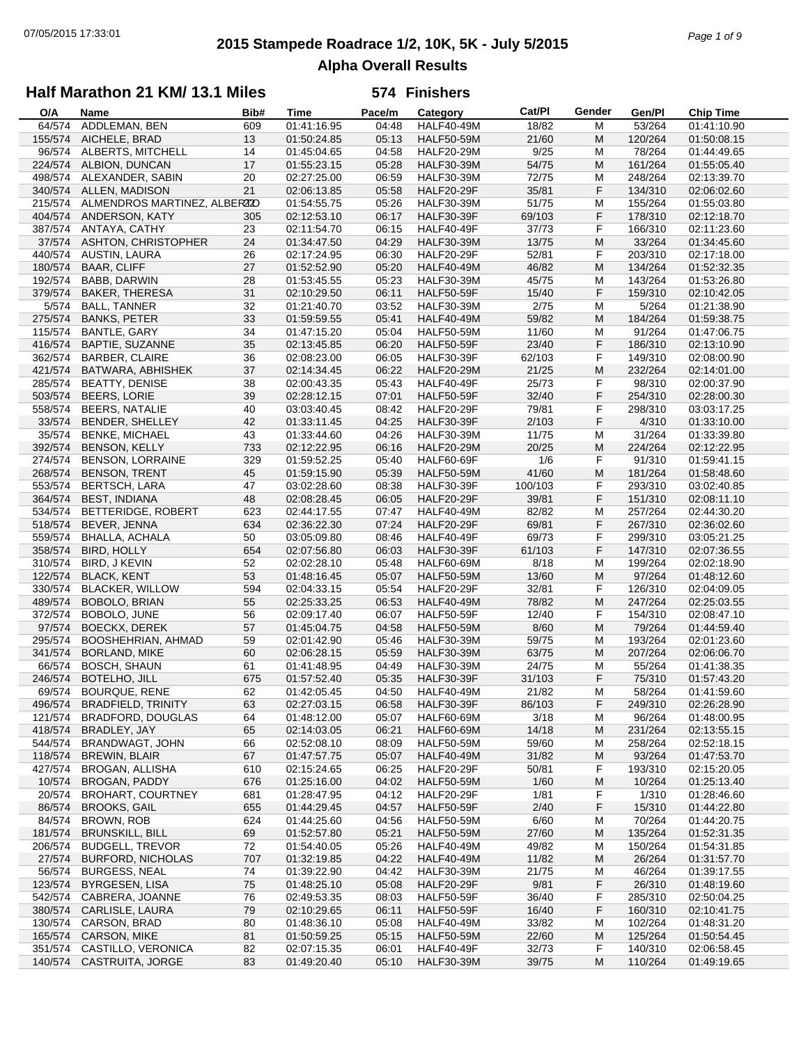# **2015 Stampede Roadrace 1/2, 10K, 5K - July 5/2015** 07/05/2015 17:33:01 *Page 1 of 9* **Alpha Overall Results**

## **Half Marathon 21 KM/ 13.1 Miles**

| O/A     | Name                         | Bib# | <b>Time</b> | Pace/m | Category          | Cat/PI  | Gender | Gen/Pl  | <b>Chip Time</b> |
|---------|------------------------------|------|-------------|--------|-------------------|---------|--------|---------|------------------|
| 64/574  | ADDLEMAN, BEN                | 609  | 01:41:16.95 | 04:48  | <b>HALF40-49M</b> | 18/82   | м      | 53/264  | 01:41:10.90      |
| 155/574 | AICHELE, BRAD                | 13   | 01:50:24.85 | 05:13  | <b>HALF50-59M</b> | 21/60   | M      | 120/264 | 01:50:08.15      |
| 96/574  | ALBERTS, MITCHELL            | 14   | 01:45:04.65 | 04:58  | <b>HALF20-29M</b> | 9/25    | M      | 78/264  | 01:44:49.65      |
| 224/574 | ALBION, DUNCAN               | 17   | 01:55:23.15 | 05:28  | <b>HALF30-39M</b> | 54/75   | M      | 161/264 | 01:55:05.40      |
| 498/574 | ALEXANDER, SABIN             | 20   | 02:27:25.00 | 06:59  | <b>HALF30-39M</b> | 72/75   | M      | 248/264 | 02:13:39.70      |
| 340/574 | ALLEN, MADISON               | 21   | 02:06:13.85 | 05:58  | <b>HALF20-29F</b> | 35/81   | F      | 134/310 | 02:06:02.60      |
| 215/574 | ALMENDROS MARTINEZ, ALBERZZO |      | 01:54:55.75 | 05:26  | <b>HALF30-39M</b> | 51/75   | M      | 155/264 | 01:55:03.80      |
| 404/574 | ANDERSON, KATY               | 305  | 02:12:53.10 | 06:17  | <b>HALF30-39F</b> | 69/103  | F      | 178/310 | 02:12:18.70      |
| 387/574 | ANTAYA, CATHY                | 23   | 02:11:54.70 | 06:15  | HALF40-49F        | 37/73   | F      | 166/310 | 02:11:23.60      |
| 37/574  | ASHTON, CHRISTOPHER          | 24   | 01:34:47.50 | 04:29  | <b>HALF30-39M</b> | 13/75   | M      | 33/264  | 01:34:45.60      |
| 440/574 | AUSTIN, LAURA                | 26   | 02:17:24.95 | 06:30  | <b>HALF20-29F</b> | 52/81   | F      | 203/310 | 02:17:18.00      |
| 180/574 | <b>BAAR, CLIFF</b>           | 27   | 01:52:52.90 | 05:20  | <b>HALF40-49M</b> | 46/82   | M      | 134/264 | 01:52:32.35      |
| 192/574 | BABB, DARWIN                 | 28   | 01:53:45.55 | 05:23  | <b>HALF30-39M</b> | 45/75   | м      | 143/264 | 01:53:26.80      |
| 379/574 | BAKER, THERESA               | 31   | 02:10:29.50 | 06:11  | <b>HALF50-59F</b> | 15/40   | F      | 159/310 | 02:10:42.05      |
| 5/574   | <b>BALL, TANNER</b>          | 32   | 01:21:40.70 | 03:52  | <b>HALF30-39M</b> | 2/75    | M      | 5/264   | 01:21:38.90      |
| 275/574 | <b>BANKS, PETER</b>          | 33   | 01:59:59.55 | 05:41  | <b>HALF40-49M</b> | 59/82   | M      | 184/264 | 01:59:38.75      |
| 115/574 | BANTLE, GARY                 | 34   | 01:47:15.20 | 05:04  | <b>HALF50-59M</b> | 11/60   | м      | 91/264  | 01:47:06.75      |
| 416/574 | BAPTIE, SUZANNE              | 35   | 02:13:45.85 | 06:20  | <b>HALF50-59F</b> | 23/40   | F      | 186/310 | 02:13:10.90      |
| 362/574 | <b>BARBER, CLAIRE</b>        | 36   | 02:08:23.00 | 06:05  | <b>HALF30-39F</b> | 62/103  | F      | 149/310 | 02:08:00.90      |
| 421/574 | BATWARA, ABHISHEK            | 37   | 02:14:34.45 | 06:22  | <b>HALF20-29M</b> | 21/25   | M      | 232/264 | 02:14:01.00      |
| 285/574 | <b>BEATTY, DENISE</b>        | 38   | 02:00:43.35 | 05:43  | <b>HALF40-49F</b> | 25/73   | F      | 98/310  | 02:00:37.90      |
| 503/574 | <b>BEERS, LORIE</b>          | 39   | 02:28:12.15 | 07:01  | <b>HALF50-59F</b> | 32/40   | F      | 254/310 | 02:28:00.30      |
| 558/574 | BEERS, NATALIE               | 40   | 03:03:40.45 | 08:42  | <b>HALF20-29F</b> | 79/81   | F      | 298/310 | 03:03:17.25      |
| 33/574  | BENDER, SHELLEY              | 42   | 01:33:11.45 | 04:25  | <b>HALF30-39F</b> | 2/103   | F      | 4/310   | 01:33:10.00      |
| 35/574  | <b>BENKE, MICHAEL</b>        | 43   | 01:33:44.60 | 04:26  | <b>HALF30-39M</b> | 11/75   | M      | 31/264  | 01:33:39.80      |
| 392/574 | BENSON, KELLY                | 733  | 02:12:22.95 | 06:16  | <b>HALF20-29M</b> | 20/25   | M      | 224/264 | 02:12:22.95      |
| 274/574 | <b>BENSON, LORRAINE</b>      | 329  | 01:59:52.25 | 05:40  | <b>HALF60-69F</b> | 1/6     | F      | 91/310  | 01:59:41.15      |
| 268/574 |                              |      |             | 05:39  | <b>HALF50-59M</b> | 41/60   | M      |         |                  |
|         | <b>BENSON, TRENT</b>         | 45   | 01:59:15.90 |        |                   |         |        | 181/264 | 01:58:48.60      |
| 553/574 | <b>BERTSCH, LARA</b>         | 47   | 03:02:28.60 | 08:38  | <b>HALF30-39F</b> | 100/103 | F      | 293/310 | 03:02:40.85      |
| 364/574 | <b>BEST, INDIANA</b>         | 48   | 02:08:28.45 | 06:05  | <b>HALF20-29F</b> | 39/81   | F      | 151/310 | 02:08:11.10      |
| 534/574 | BETTERIDGE, ROBERT           | 623  | 02:44:17.55 | 07:47  | <b>HALF40-49M</b> | 82/82   | M      | 257/264 | 02:44:30.20      |
| 518/574 | BEVER, JENNA                 | 634  | 02:36:22.30 | 07:24  | <b>HALF20-29F</b> | 69/81   | F      | 267/310 | 02:36:02.60      |
| 559/574 | BHALLA, ACHALA               | 50   | 03:05:09.80 | 08:46  | <b>HALF40-49F</b> | 69/73   | F      | 299/310 | 03:05:21.25      |
| 358/574 | <b>BIRD, HOLLY</b>           | 654  | 02:07:56.80 | 06:03  | <b>HALF30-39F</b> | 61/103  | F      | 147/310 | 02:07:36.55      |
| 310/574 | BIRD, J KEVIN                | 52   | 02:02:28.10 | 05:48  | <b>HALF60-69M</b> | 8/18    | M      | 199/264 | 02:02:18.90      |
| 122/574 | <b>BLACK, KENT</b>           | 53   | 01:48:16.45 | 05:07  | <b>HALF50-59M</b> | 13/60   | M      | 97/264  | 01:48:12.60      |
| 330/574 | <b>BLACKER, WILLOW</b>       | 594  | 02:04:33.15 | 05:54  | <b>HALF20-29F</b> | 32/81   | F      | 126/310 | 02:04:09.05      |
| 489/574 | BOBOLO, BRIAN                | 55   | 02:25:33.25 | 06:53  | <b>HALF40-49M</b> | 78/82   | M      | 247/264 | 02:25:03.55      |
| 372/574 | BOBOLO, JUNE                 | 56   | 02:09:17.40 | 06:07  | <b>HALF50-59F</b> | 12/40   | F      | 154/310 | 02:08:47.10      |
| 97/574  | <b>BOECKX, DEREK</b>         | 57   | 01:45:04.75 | 04:58  | <b>HALF50-59M</b> | 8/60    | M      | 79/264  | 01:44:59.40      |
| 295/574 | BOOSHEHRIAN, AHMAD           | 59   | 02:01:42.90 | 05:46  | <b>HALF30-39M</b> | 59/75   | M      | 193/264 | 02:01:23.60      |
| 341/574 | <b>BORLAND, MIKE</b>         | 60   | 02:06:28.15 | 05:59  | <b>HALF30-39M</b> | 63/75   | M      | 207/264 | 02:06:06.70      |
| 66/574  | <b>BOSCH, SHAUN</b>          | 61   | 01:41:48.95 | 04:49  | <b>HALF30-39M</b> | 24/75   | M      | 55/264  | 01:41:38.35      |
| 246/574 | BOTELHO, JILL                | 675  | 01:57:52.40 | 05:35  | <b>HALF30-39F</b> | 31/103  | F      | 75/310  | 01:57:43.20      |
| 69/574  | BOURQUE, RENE                | 62   | 01:42:05.45 | 04:50  | <b>HALF40-49M</b> | 21/82   | M      | 58/264  | 01:41:59.60      |
| 496/574 | <b>BRADFIELD, TRINITY</b>    | 63   | 02:27:03.15 | 06:58  | <b>HALF30-39F</b> | 86/103  | F      | 249/310 | 02:26:28.90      |
| 121/574 | <b>BRADFORD, DOUGLAS</b>     | 64   | 01:48:12.00 | 05:07  | <b>HALF60-69M</b> | 3/18    | M      | 96/264  | 01:48:00.95      |
| 418/574 | BRADLEY, JAY                 | 65   | 02:14:03.05 | 06:21  | <b>HALF60-69M</b> | 14/18   | M      | 231/264 | 02:13:55.15      |
| 544/574 | BRANDWAGT, JOHN              | 66   | 02:52:08.10 | 08:09  | <b>HALF50-59M</b> | 59/60   | м      | 258/264 | 02:52:18.15      |
| 118/574 | <b>BREWIN, BLAIR</b>         | 67   | 01:47:57.75 | 05:07  | <b>HALF40-49M</b> | 31/82   | M      | 93/264  | 01:47:53.70      |
| 427/574 | <b>BROGAN, ALLISHA</b>       | 610  | 02:15:24.65 | 06:25  | <b>HALF20-29F</b> | 50/81   | F      | 193/310 | 02:15:20.05      |
| 10/574  | BROGAN, PADDY                | 676  | 01:25:16.00 | 04:02  | <b>HALF50-59M</b> | 1/60    | M      | 10/264  | 01:25:13.40      |
| 20/574  | <b>BROHART, COURTNEY</b>     | 681  | 01:28:47.95 | 04:12  | <b>HALF20-29F</b> | 1/81    | F      | 1/310   | 01:28:46.60      |
| 86/574  | <b>BROOKS, GAIL</b>          | 655  | 01:44:29.45 | 04:57  | <b>HALF50-59F</b> | 2/40    | F      | 15/310  | 01:44:22.80      |
| 84/574  | BROWN, ROB                   | 624  | 01:44:25.60 | 04:56  | <b>HALF50-59M</b> | 6/60    | M      | 70/264  | 01:44:20.75      |
| 181/574 | <b>BRUNSKILL, BILL</b>       | 69   | 01:52:57.80 | 05:21  | <b>HALF50-59M</b> | 27/60   | M      | 135/264 | 01:52:31.35      |
| 206/574 | <b>BUDGELL, TREVOR</b>       | 72   | 01:54:40.05 | 05:26  | <b>HALF40-49M</b> | 49/82   | M      | 150/264 | 01:54:31.85      |
| 27/574  | <b>BURFORD, NICHOLAS</b>     | 707  | 01:32:19.85 | 04:22  | <b>HALF40-49M</b> | 11/82   | M      | 26/264  | 01:31:57.70      |
| 56/574  | <b>BURGESS, NEAL</b>         | 74   | 01:39:22.90 | 04:42  | <b>HALF30-39M</b> | 21/75   | M      | 46/264  | 01:39:17.55      |
| 123/574 | <b>BYRGESEN, LISA</b>        | 75   | 01:48:25.10 | 05:08  | <b>HALF20-29F</b> | 9/81    | F      | 26/310  | 01:48:19.60      |
| 542/574 | CABRERA, JOANNE              | 76   | 02:49:53.35 | 08:03  | <b>HALF50-59F</b> | 36/40   | F      | 285/310 | 02:50:04.25      |
| 380/574 | CARLISLE, LAURA              | 79   | 02:10:29.65 | 06:11  | <b>HALF50-59F</b> | 16/40   | F      | 160/310 | 02:10:41.75      |
| 130/574 | CARSON, BRAD                 | 80   | 01:48:36.10 | 05:08  | <b>HALF40-49M</b> | 33/82   | M      | 102/264 | 01:48:31.20      |
| 165/574 | CARSON, MIKE                 | 81   | 01:50:59.25 | 05:15  | <b>HALF50-59M</b> | 22/60   | M      | 125/264 | 01:50:54.45      |
| 351/574 | CASTILLO, VERONICA           | 82   | 02:07:15.35 | 06:01  | <b>HALF40-49F</b> | 32/73   | F      | 140/310 | 02:06:58.45      |
|         | 140/574 CASTRUITA, JORGE     | 83   | 01:49:20.40 | 05:10  | <b>HALF30-39M</b> | 39/75   | M      | 110/264 | 01:49:19.65      |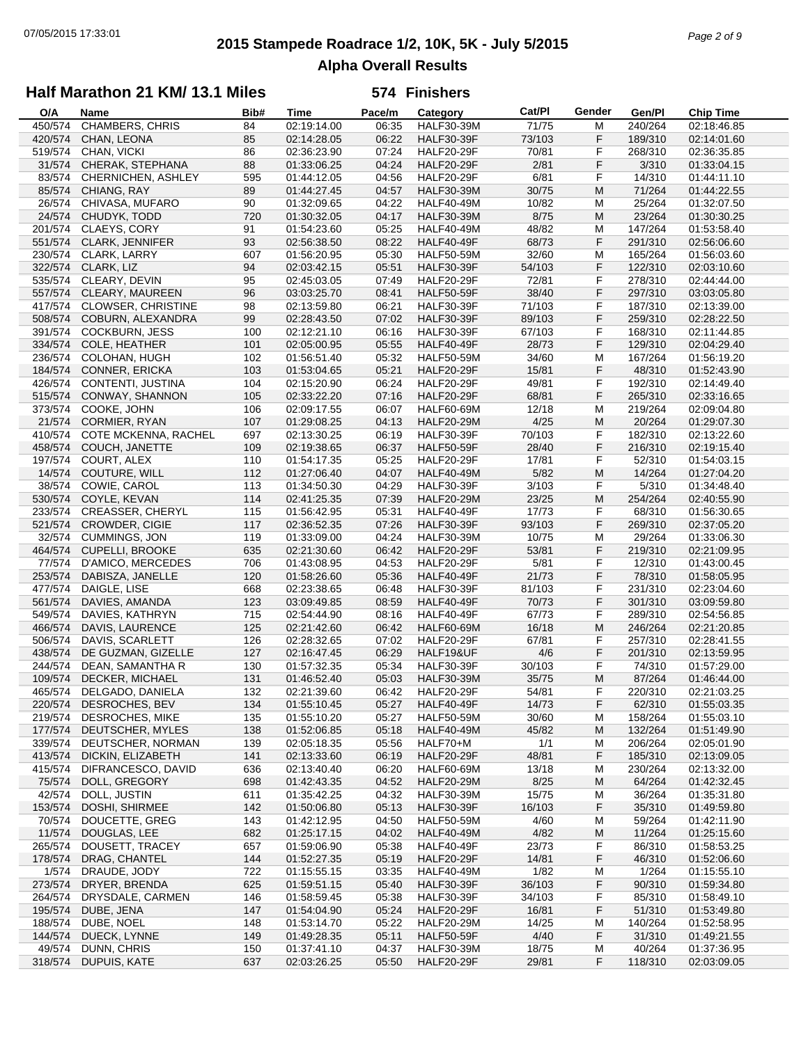## **2015 Stampede Roadrace 1/2, 10K, 5K - July 5/2015** 07/05/2015 17:33:01 *Page 2 of 9* **Alpha Overall Results**

## **Half Marathon 21 KM/ 13.1 Miles**

| O/A     | Name                      | Bib# | <b>Time</b> | Pace/m | Category          | Cat/PI | Gender | Gen/PI  | <b>Chip Time</b> |
|---------|---------------------------|------|-------------|--------|-------------------|--------|--------|---------|------------------|
| 450/574 | CHAMBERS, CHRIS           | 84   | 02:19:14.00 | 06:35  | <b>HALF30-39M</b> | 71/75  | M      | 240/264 | 02:18:46.85      |
| 420/574 | CHAN, LEONA               | 85   | 02:14:28.05 | 06:22  | <b>HALF30-39F</b> | 73/103 | F      | 189/310 | 02:14:01.60      |
| 519/574 | CHAN, VICKI               | 86   | 02:36:23.90 | 07:24  | <b>HALF20-29F</b> | 70/81  | F      | 268/310 | 02:36:35.85      |
| 31/574  | CHERAK, STEPHANA          | 88   | 01:33:06.25 | 04:24  | <b>HALF20-29F</b> | 2/81   | F      | 3/310   | 01:33:04.15      |
| 83/574  | CHERNICHEN, ASHLEY        | 595  | 01:44:12.05 | 04:56  | <b>HALF20-29F</b> | 6/81   | F      | 14/310  | 01:44:11.10      |
| 85/574  |                           |      |             | 04:57  |                   | 30/75  | M      | 71/264  |                  |
|         | CHIANG, RAY               | 89   | 01:44:27.45 |        | <b>HALF30-39M</b> |        |        |         | 01:44:22.55      |
| 26/574  | CHIVASA, MUFARO           | 90   | 01:32:09.65 | 04:22  | <b>HALF40-49M</b> | 10/82  | M      | 25/264  | 01:32:07.50      |
| 24/574  | CHUDYK, TODD              | 720  | 01:30:32.05 | 04:17  | <b>HALF30-39M</b> | 8/75   | M      | 23/264  | 01:30:30.25      |
| 201/574 | CLAEYS, CORY              | 91   | 01:54:23.60 | 05:25  | <b>HALF40-49M</b> | 48/82  | M      | 147/264 | 01:53:58.40      |
| 551/574 | CLARK, JENNIFER           | 93   | 02:56:38.50 | 08:22  | <b>HALF40-49F</b> | 68/73  | F      | 291/310 | 02:56:06.60      |
| 230/574 | CLARK, LARRY              | 607  | 01:56:20.95 | 05:30  | <b>HALF50-59M</b> | 32/60  | M      | 165/264 | 01:56:03.60      |
| 322/574 | CLARK, LIZ                | 94   | 02:03:42.15 | 05:51  | <b>HALF30-39F</b> | 54/103 | F      | 122/310 | 02:03:10.60      |
| 535/574 | CLEARY, DEVIN             | 95   | 02:45:03.05 | 07:49  | <b>HALF20-29F</b> | 72/81  | F      | 278/310 | 02:44:44.00      |
| 557/574 | CLEARY, MAUREEN           | 96   | 03:03:25.70 | 08:41  | <b>HALF50-59F</b> | 38/40  | F      | 297/310 | 03:03:05.80      |
| 417/574 | <b>CLOWSER, CHRISTINE</b> | 98   | 02:13:59.80 | 06:21  | <b>HALF30-39F</b> | 71/103 | F      | 187/310 | 02:13:39.00      |
| 508/574 | COBURN, ALEXANDRA         | 99   | 02:28:43.50 | 07:02  | <b>HALF30-39F</b> | 89/103 | F      | 259/310 | 02:28:22.50      |
|         |                           |      |             |        |                   |        | F      |         |                  |
| 391/574 | <b>COCKBURN, JESS</b>     | 100  | 02:12:21.10 | 06:16  | <b>HALF30-39F</b> | 67/103 |        | 168/310 | 02:11:44.85      |
| 334/574 | COLE, HEATHER             | 101  | 02:05:00.95 | 05:55  | <b>HALF40-49F</b> | 28/73  | F      | 129/310 | 02:04:29.40      |
| 236/574 | <b>COLOHAN, HUGH</b>      | 102  | 01:56:51.40 | 05:32  | <b>HALF50-59M</b> | 34/60  | M      | 167/264 | 01:56:19.20      |
| 184/574 | <b>CONNER, ERICKA</b>     | 103  | 01:53:04.65 | 05:21  | <b>HALF20-29F</b> | 15/81  | F      | 48/310  | 01:52:43.90      |
| 426/574 | CONTENTI, JUSTINA         | 104  | 02:15:20.90 | 06:24  | <b>HALF20-29F</b> | 49/81  | F      | 192/310 | 02:14:49.40      |
| 515/574 | CONWAY, SHANNON           | 105  | 02:33:22.20 | 07:16  | <b>HALF20-29F</b> | 68/81  | F      | 265/310 | 02:33:16.65      |
| 373/574 | COOKE, JOHN               | 106  | 02:09:17.55 | 06:07  | HALF60-69M        | 12/18  | M      | 219/264 | 02:09:04.80      |
| 21/574  | CORMIER, RYAN             | 107  | 01:29:08.25 | 04:13  | <b>HALF20-29M</b> | 4/25   | M      | 20/264  | 01:29:07.30      |
| 410/574 | COTE MCKENNA, RACHEL      | 697  | 02:13:30.25 | 06:19  | <b>HALF30-39F</b> | 70/103 | F      | 182/310 | 02:13:22.60      |
| 458/574 | COUCH, JANETTE            | 109  | 02:19:38.65 | 06:37  | <b>HALF50-59F</b> | 28/40  | F      | 216/310 | 02:19:15.40      |
| 197/574 | COURT, ALEX               | 110  | 01:54:17.35 | 05:25  | <b>HALF20-29F</b> | 17/81  | F      | 52/310  | 01:54:03.15      |
| 14/574  |                           |      |             |        |                   |        |        |         |                  |
|         | COUTURE, WILL             | 112  | 01:27:06.40 | 04:07  | <b>HALF40-49M</b> | 5/82   | M      | 14/264  | 01:27:04.20      |
| 38/574  | COWIE, CAROL              | 113  | 01:34:50.30 | 04:29  | <b>HALF30-39F</b> | 3/103  | F      | 5/310   | 01:34:48.40      |
| 530/574 | COYLE, KEVAN              | 114  | 02:41:25.35 | 07:39  | <b>HALF20-29M</b> | 23/25  | M      | 254/264 | 02:40:55.90      |
| 233/574 | <b>CREASSER, CHERYL</b>   | 115  | 01:56:42.95 | 05:31  | <b>HALF40-49F</b> | 17/73  | F      | 68/310  | 01:56:30.65      |
| 521/574 | <b>CROWDER, CIGIE</b>     | 117  | 02:36:52.35 | 07:26  | <b>HALF30-39F</b> | 93/103 | F      | 269/310 | 02:37:05.20      |
| 32/574  | <b>CUMMINGS, JON</b>      | 119  | 01:33:09.00 | 04:24  | <b>HALF30-39M</b> | 10/75  | M      | 29/264  | 01:33:06.30      |
| 464/574 | <b>CUPELLI, BROOKE</b>    | 635  | 02:21:30.60 | 06:42  | <b>HALF20-29F</b> | 53/81  | F      | 219/310 | 02:21:09.95      |
| 77/574  | D'AMICO, MERCEDES         | 706  | 01:43:08.95 | 04:53  | <b>HALF20-29F</b> | 5/81   | F      | 12/310  | 01:43:00.45      |
| 253/574 | DABISZA, JANELLE          | 120  | 01:58:26.60 | 05:36  | <b>HALF40-49F</b> | 21/73  | F      | 78/310  | 01:58:05.95      |
| 477/574 | DAIGLE, LISE              | 668  | 02:23:38.65 | 06:48  | <b>HALF30-39F</b> | 81/103 | F      | 231/310 | 02:23:04.60      |
| 561/574 | DAVIES, AMANDA            | 123  | 03:09:49.85 | 08:59  | <b>HALF40-49F</b> | 70/73  | F      | 301/310 | 03:09:59.80      |
|         |                           |      |             |        |                   |        |        |         |                  |
| 549/574 | DAVIES, KATHRYN           | 715  | 02:54:44.90 | 08:16  | <b>HALF40-49F</b> | 67/73  | F      | 289/310 | 02:54:56.85      |
| 466/574 | DAVIS, LAURENCE           | 125  | 02:21:42.60 | 06:42  | <b>HALF60-69M</b> | 16/18  | M      | 246/264 | 02:21:20.85      |
| 506/574 | DAVIS, SCARLETT           | 126  | 02:28:32.65 | 07:02  | <b>HALF20-29F</b> | 67/81  | F      | 257/310 | 02:28:41.55      |
| 438/574 | DE GUZMAN, GIZELLE        | 127  | 02:16:47.45 | 06:29  | HALF19&UF         | 4/6    | F      | 201/310 | 02:13:59.95      |
| 244/574 | DEAN, SAMANTHA R          | 130  | 01:57:32.35 | 05:34  | <b>HALF30-39F</b> | 30/103 | F      | 74/310  | 01:57:29.00      |
| 109/574 | DECKER, MICHAEL           | 131  | 01:46:52.40 | 05:03  | <b>HALF30-39M</b> | 35/75  | M      | 87/264  | 01:46:44.00      |
| 465/574 | DELGADO, DANIELA          | 132  | 02:21:39.60 | 06:42  | <b>HALF20-29F</b> | 54/81  | F      | 220/310 | 02:21:03.25      |
| 220/574 | DESROCHES, BEV            | 134  | 01:55:10.45 | 05:27  | <b>HALF40-49F</b> | 14/73  | F      | 62/310  | 01:55:03.35      |
| 219/574 | DESROCHES, MIKE           | 135  | 01:55:10.20 | 05:27  | <b>HALF50-59M</b> | 30/60  | M      | 158/264 | 01:55:03.10      |
| 177/574 | DEUTSCHER, MYLES          | 138  | 01:52:06.85 | 05:18  | <b>HALF40-49M</b> | 45/82  | M      | 132/264 | 01:51:49.90      |
| 339/574 | DEUTSCHER, NORMAN         |      |             | 05:56  |                   | 1/1    |        | 206/264 | 02:05:01.90      |
|         |                           | 139  | 02:05:18.35 |        | HALF70+M          |        | м      |         |                  |
| 413/574 | DICKIN, ELIZABETH         | 141  | 02:13:33.60 | 06:19  | <b>HALF20-29F</b> | 48/81  | F      | 185/310 | 02:13:09.05      |
| 415/574 | DIFRANCESCO, DAVID        | 636  | 02:13:40.40 | 06:20  | <b>HALF60-69M</b> | 13/18  | M      | 230/264 | 02:13:32.00      |
| 75/574  | DOLL, GREGORY             | 698  | 01:42:43.35 | 04:52  | <b>HALF20-29M</b> | 8/25   | M      | 64/264  | 01:42:32.45      |
| 42/574  | DOLL, JUSTIN              | 611  | 01:35:42.25 | 04:32  | <b>HALF30-39M</b> | 15/75  | м      | 36/264  | 01:35:31.80      |
| 153/574 | DOSHI, SHIRMEE            | 142  | 01:50:06.80 | 05:13  | <b>HALF30-39F</b> | 16/103 | F      | 35/310  | 01:49:59.80      |
| 70/574  | DOUCETTE, GREG            | 143  | 01:42:12.95 | 04:50  | <b>HALF50-59M</b> | 4/60   | M      | 59/264  | 01:42:11.90      |
| 11/574  | DOUGLAS, LEE              | 682  | 01:25:17.15 | 04:02  | <b>HALF40-49M</b> | 4/82   | M      | 11/264  | 01:25:15.60      |
| 265/574 | DOUSETT, TRACEY           | 657  | 01:59:06.90 | 05:38  | <b>HALF40-49F</b> | 23/73  | F      | 86/310  | 01:58:53.25      |
| 178/574 | DRAG, CHANTEL             | 144  | 01:52:27.35 | 05:19  | <b>HALF20-29F</b> | 14/81  | F      | 46/310  | 01:52:06.60      |
| 1/574   | DRAUDE, JODY              | 722  | 01:15:55.15 | 03:35  | <b>HALF40-49M</b> | 1/82   | M      | 1/264   | 01:15:55.10      |
|         |                           |      |             |        |                   |        |        |         |                  |
| 273/574 | DRYER, BRENDA             | 625  | 01:59:51.15 | 05:40  | <b>HALF30-39F</b> | 36/103 | F      | 90/310  | 01:59:34.80      |
| 264/574 | DRYSDALE, CARMEN          | 146  | 01:58:59.45 | 05:38  | <b>HALF30-39F</b> | 34/103 | F      | 85/310  | 01:58:49.10      |
| 195/574 | DUBE, JENA                | 147  | 01:54:04.90 | 05:24  | <b>HALF20-29F</b> | 16/81  | F      | 51/310  | 01:53:49.80      |
| 188/574 | DUBE, NOEL                | 148  | 01:53:14.70 | 05:22  | <b>HALF20-29M</b> | 14/25  | M      | 140/264 | 01:52:58.95      |
| 144/574 | DUECK, LYNNE              | 149  | 01:49:28.35 | 05:11  | <b>HALF50-59F</b> | 4/40   | F      | 31/310  | 01:49:21.55      |
| 49/574  | DUNN, CHRIS               | 150  | 01:37:41.10 | 04:37  | <b>HALF30-39M</b> | 18/75  | M      | 40/264  | 01:37:36.95      |
| 318/574 | DUPUIS, KATE              | 637  | 02:03:26.25 | 05:50  | <b>HALF20-29F</b> | 29/81  | F      | 118/310 | 02:03:09.05      |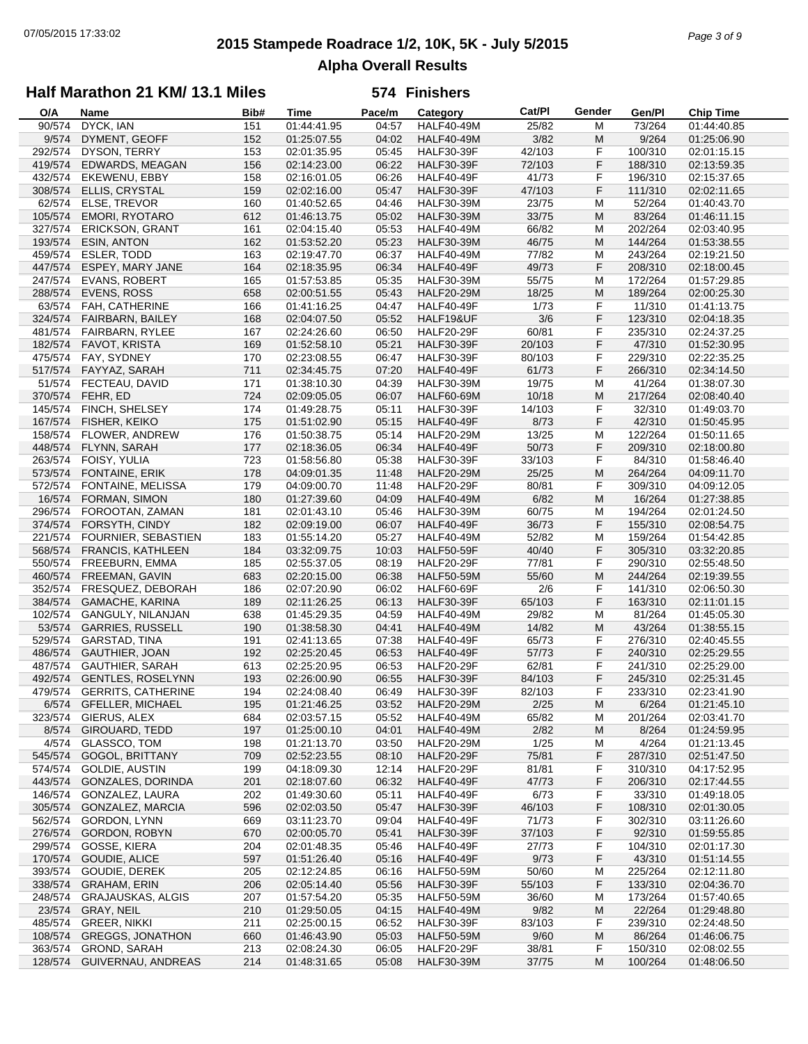# **2015 Stampede Roadrace 1/2, 10K, 5K - July 5/2015** 07/05/2015 17:33:02 *Page 3 of 9* **Alpha Overall Results**

## **Half Marathon 21 KM/ 13.1 Miles**

| O/A     | Name                       | Bib# | Time        | Pace/m | Category          | Cat/Pl | Gender | Gen/Pl  | <b>Chip Time</b>         |
|---------|----------------------------|------|-------------|--------|-------------------|--------|--------|---------|--------------------------|
| 90/574  | DYCK, IAN                  | 151  | 01:44:41.95 | 04:57  | <b>HALF40-49M</b> | 25/82  | м      | 73/264  | $\overline{01:}44:40.85$ |
| 9/574   | DYMENT, GEOFF              | 152  | 01:25:07.55 | 04:02  | <b>HALF40-49M</b> | 3/82   | M      | 9/264   | 01:25:06.90              |
| 292/574 | DYSON, TERRY               | 153  | 02:01:35.95 | 05:45  | <b>HALF30-39F</b> | 42/103 | F      | 100/310 | 02:01:15.15              |
| 419/574 | EDWARDS, MEAGAN            | 156  | 02:14:23.00 | 06:22  | <b>HALF30-39F</b> | 72/103 | F      | 188/310 | 02:13:59.35              |
| 432/574 | <b>EKEWENU, EBBY</b>       | 158  | 02:16:01.05 | 06:26  | HALF40-49F        | 41/73  | F      | 196/310 | 02:15:37.65              |
|         |                            |      |             |        |                   |        |        |         |                          |
| 308/574 | ELLIS, CRYSTAL             | 159  | 02:02:16.00 | 05:47  | <b>HALF30-39F</b> | 47/103 | F      | 111/310 | 02:02:11.65              |
| 62/574  | ELSE, TREVOR               | 160  | 01:40:52.65 | 04:46  | <b>HALF30-39M</b> | 23/75  | M      | 52/264  | 01:40:43.70              |
| 105/574 | <b>EMORI, RYOTARO</b>      | 612  | 01:46:13.75 | 05:02  | <b>HALF30-39M</b> | 33/75  | M      | 83/264  | 01:46:11.15              |
| 327/574 | <b>ERICKSON, GRANT</b>     | 161  | 02:04:15.40 | 05:53  | <b>HALF40-49M</b> | 66/82  | M      | 202/264 | 02:03:40.95              |
| 193/574 | <b>ESIN, ANTON</b>         | 162  | 01:53:52.20 | 05:23  | <b>HALF30-39M</b> | 46/75  | M      | 144/264 | 01:53:38.55              |
| 459/574 | ESLER, TODD                | 163  | 02:19:47.70 | 06:37  | <b>HALF40-49M</b> | 77/82  | M      | 243/264 | 02:19:21.50              |
| 447/574 | ESPEY, MARY JANE           | 164  | 02:18:35.95 | 06:34  | <b>HALF40-49F</b> | 49/73  | F      | 208/310 | 02:18:00.45              |
| 247/574 | <b>EVANS, ROBERT</b>       | 165  | 01:57:53.85 | 05:35  | <b>HALF30-39M</b> | 55/75  | M      | 172/264 | 01:57:29.85              |
| 288/574 | <b>EVENS, ROSS</b>         | 658  | 02:00:51.55 | 05:43  | <b>HALF20-29M</b> | 18/25  | M      | 189/264 | 02:00:25.30              |
| 63/574  | FAH, CATHERINE             | 166  | 01:41:16.25 | 04:47  | HALF40-49F        | 1/73   | F      | 11/310  | 01:41:13.75              |
| 324/574 | FAIRBARN, BAILEY           | 168  | 02:04:07.50 | 05:52  | HALF19&UF         | 3/6    | F      | 123/310 | 02:04:18.35              |
| 481/574 | <b>FAIRBARN, RYLEE</b>     | 167  | 02:24:26.60 | 06:50  | <b>HALF20-29F</b> | 60/81  | F      | 235/310 | 02:24:37.25              |
| 182/574 | FAVOT, KRISTA              | 169  | 01:52:58.10 | 05:21  | <b>HALF30-39F</b> | 20/103 | F      | 47/310  | 01:52:30.95              |
|         |                            |      |             |        |                   |        | F      |         |                          |
| 475/574 | FAY, SYDNEY                | 170  | 02:23:08.55 | 06:47  | <b>HALF30-39F</b> | 80/103 |        | 229/310 | 02:22:35.25              |
| 517/574 | FAYYAZ, SARAH              | 711  | 02:34:45.75 | 07:20  | <b>HALF40-49F</b> | 61/73  | F      | 266/310 | 02:34:14.50              |
| 51/574  | FECTEAU, DAVID             | 171  | 01:38:10.30 | 04:39  | <b>HALF30-39M</b> | 19/75  | M      | 41/264  | 01:38:07.30              |
| 370/574 | FEHR, ED                   | 724  | 02:09:05.05 | 06:07  | <b>HALF60-69M</b> | 10/18  | M      | 217/264 | 02:08:40.40              |
| 145/574 | FINCH, SHELSEY             | 174  | 01:49:28.75 | 05:11  | <b>HALF30-39F</b> | 14/103 | F      | 32/310  | 01:49:03.70              |
| 167/574 | FISHER, KEIKO              | 175  | 01:51:02.90 | 05:15  | HALF40-49F        | 8/73   | F      | 42/310  | 01:50:45.95              |
| 158/574 | <b>FLOWER, ANDREW</b>      | 176  | 01:50:38.75 | 05:14  | <b>HALF20-29M</b> | 13/25  | M      | 122/264 | 01:50:11.65              |
| 448/574 | FLYNN, SARAH               | 177  | 02:18:36.05 | 06:34  | <b>HALF40-49F</b> | 50/73  | F      | 209/310 | 02:18:00.80              |
| 263/574 | FOISY, YULIA               | 723  | 01:58:56.80 | 05:38  | <b>HALF30-39F</b> | 33/103 | F      | 84/310  | 01:58:46.40              |
| 573/574 | FONTAINE, ERIK             | 178  | 04:09:01.35 | 11:48  | <b>HALF20-29M</b> | 25/25  | M      | 264/264 | 04:09:11.70              |
| 572/574 | FONTAINE, MELISSA          | 179  | 04:09:00.70 | 11:48  | <b>HALF20-29F</b> | 80/81  | F      | 309/310 | 04:09:12.05              |
|         |                            |      |             |        |                   |        |        |         |                          |
| 16/574  | <b>FORMAN, SIMON</b>       | 180  | 01:27:39.60 | 04:09  | <b>HALF40-49M</b> | 6/82   | M      | 16/264  | 01:27:38.85              |
| 296/574 | FOROOTAN, ZAMAN            | 181  | 02:01:43.10 | 05:46  | <b>HALF30-39M</b> | 60/75  | M      | 194/264 | 02:01:24.50              |
| 374/574 | FORSYTH, CINDY             | 182  | 02:09:19.00 | 06:07  | HALF40-49F        | 36/73  | F      | 155/310 | 02:08:54.75              |
| 221/574 | <b>FOURNIER, SEBASTIEN</b> | 183  | 01:55:14.20 | 05:27  | <b>HALF40-49M</b> | 52/82  | M      | 159/264 | 01:54:42.85              |
| 568/574 | <b>FRANCIS, KATHLEEN</b>   | 184  | 03:32:09.75 | 10:03  | <b>HALF50-59F</b> | 40/40  | F      | 305/310 | 03:32:20.85              |
| 550/574 | FREEBURN, EMMA             | 185  | 02:55:37.05 | 08:19  | <b>HALF20-29F</b> | 77/81  | F      | 290/310 | 02:55:48.50              |
| 460/574 | FREEMAN, GAVIN             | 683  | 02:20:15.00 | 06:38  | <b>HALF50-59M</b> | 55/60  | M      | 244/264 | 02:19:39.55              |
| 352/574 | FRESQUEZ, DEBORAH          | 186  | 02:07:20.90 | 06:02  | HALF60-69F        | 2/6    | F      | 141/310 | 02:06:50.30              |
| 384/574 | <b>GAMACHE, KARINA</b>     | 189  | 02:11:26.25 | 06:13  | <b>HALF30-39F</b> | 65/103 | F      | 163/310 | 02:11:01.15              |
| 102/574 | GANGULY, NILANJAN          | 638  | 01:45:29.35 | 04:59  | <b>HALF40-49M</b> | 29/82  | M      | 81/264  | 01:45:05.30              |
| 53/574  | <b>GARRIES, RUSSELL</b>    | 190  | 01:38:58.30 | 04:41  | <b>HALF40-49M</b> | 14/82  | M      | 43/264  | 01:38:55.15              |
| 529/574 | GARSTAD, TINA              | 191  | 02:41:13.65 | 07:38  | <b>HALF40-49F</b> | 65/73  | F      | 276/310 | 02:40:45.55              |
| 486/574 | GAUTHIER, JOAN             | 192  | 02:25:20.45 | 06:53  | <b>HALF40-49F</b> | 57/73  | F      | 240/310 | 02:25:29.55              |
| 487/574 | <b>GAUTHIER, SARAH</b>     | 613  | 02:25:20.95 | 06:53  | <b>HALF20-29F</b> | 62/81  | F      | 241/310 | 02:25:29.00              |
|         |                            |      |             |        |                   |        |        |         |                          |
| 492/574 | <b>GENTLES, ROSELYNN</b>   | 193  | 02:26:00.90 | 06:55  | <b>HALF30-39F</b> | 84/103 | F      | 245/310 | 02:25:31.45              |
|         | 479/574 GERRITS, CATHERINE | 194  | 02:24:08.40 | 06:49  | <b>HALF30-39F</b> | 82/103 | F      | 233/310 | 02:23:41.90              |
|         | 6/574 GFELLER, MICHAEL     | 195  | 01:21:46.25 | 03:52  | <b>HALF20-29M</b> | 2/25   | M      | 6/264   | 01:21:45.10              |
| 323/574 | GIERUS, ALEX               | 684  | 02:03:57.15 | 05:52  | <b>HALF40-49M</b> | 65/82  | M      | 201/264 | 02:03:41.70              |
| 8/574   | <b>GIROUARD, TEDD</b>      | 197  | 01:25:00.10 | 04:01  | <b>HALF40-49M</b> | 2/82   | M      | 8/264   | 01:24:59.95              |
| 4/574   | <b>GLASSCO, TOM</b>        | 198  | 01:21:13.70 | 03:50  | <b>HALF20-29M</b> | 1/25   | M      | 4/264   | 01:21:13.45              |
| 545/574 | <b>GOGOL, BRITTANY</b>     | 709  | 02:52:23.55 | 08:10  | <b>HALF20-29F</b> | 75/81  | F      | 287/310 | 02:51:47.50              |
| 574/574 | GOLDIE, AUSTIN             | 199  | 04:18:09.30 | 12:14  | <b>HALF20-29F</b> | 81/81  | F      | 310/310 | 04:17:52.95              |
| 443/574 | GONZALES, DORINDA          | 201  | 02:18:07.60 | 06:32  | HALF40-49F        | 47/73  | F      | 206/310 | 02:17:44.55              |
| 146/574 | GONZALEZ, LAURA            | 202  | 01:49:30.60 | 05:11  | HALF40-49F        | 6/73   | F      | 33/310  | 01:49:18.05              |
| 305/574 | GONZALEZ, MARCIA           | 596  | 02:02:03.50 | 05:47  | <b>HALF30-39F</b> | 46/103 | F      | 108/310 | 02:01:30.05              |
| 562/574 | GORDON, LYNN               | 669  | 03:11:23.70 | 09:04  | HALF40-49F        | 71/73  | F      | 302/310 | 03:11:26.60              |
| 276/574 | GORDON, ROBYN              | 670  | 02:00:05.70 | 05:41  | <b>HALF30-39F</b> | 37/103 | F      | 92/310  | 01:59:55.85              |
|         |                            |      |             |        |                   |        |        |         |                          |
| 299/574 | GOSSE, KIERA               | 204  | 02:01:48.35 | 05:46  | HALF40-49F        | 27/73  | F      | 104/310 | 02:01:17.30              |
| 170/574 | GOUDIE, ALICE              | 597  | 01:51:26.40 | 05:16  | <b>HALF40-49F</b> | 9/73   | F      | 43/310  | 01:51:14.55              |
| 393/574 | GOUDIE, DEREK              | 205  | 02:12:24.85 | 06:16  | <b>HALF50-59M</b> | 50/60  | M      | 225/264 | 02:12:11.80              |
| 338/574 | <b>GRAHAM, ERIN</b>        | 206  | 02:05:14.40 | 05:56  | <b>HALF30-39F</b> | 55/103 | F      | 133/310 | 02:04:36.70              |
| 248/574 | <b>GRAJAUSKAS, ALGIS</b>   | 207  | 01:57:54.20 | 05:35  | <b>HALF50-59M</b> | 36/60  | M      | 173/264 | 01:57:40.65              |
| 23/574  | GRAY, NEIL                 | 210  | 01:29:50.05 | 04:15  | <b>HALF40-49M</b> | 9/82   | M      | 22/264  | 01:29:48.80              |
| 485/574 | <b>GREER, NIKKI</b>        | 211  | 02:25:00.15 | 06:52  | <b>HALF30-39F</b> | 83/103 | F      | 239/310 | 02:24:48.50              |
| 108/574 | <b>GREGGS, JONATHON</b>    | 660  | 01:46:43.90 | 05:03  | <b>HALF50-59M</b> | 9/60   | M      | 86/264  | 01:46:06.75              |
| 363/574 | GROND, SARAH               | 213  | 02:08:24.30 | 06:05  | <b>HALF20-29F</b> | 38/81  | F      | 150/310 | 02:08:02.55              |
| 128/574 | GUIVERNAU, ANDREAS         | 214  | 01:48:31.65 | 05:08  | <b>HALF30-39M</b> | 37/75  | M      | 100/264 | 01:48:06.50              |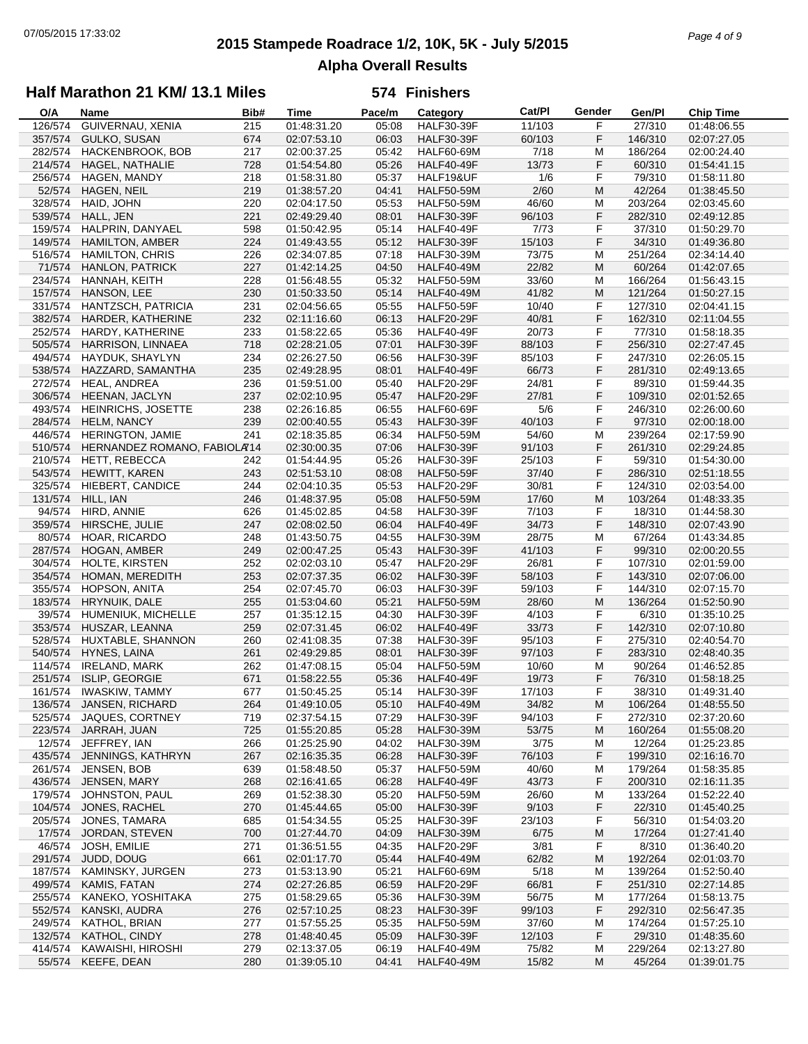# **2015 Stampede Roadrace 1/2, 10K, 5K - July 5/2015** 07/05/2015 17:33:02 *Page 4 of 9* **Alpha Overall Results**

## **Half Marathon 21 KM/ 13.1 Miles**

| O/A     | Name                        | Bib# | Time        | Pace/m | Category          | Cat/PI | Gender | Gen/Pl  | <b>Chip Time</b> |
|---------|-----------------------------|------|-------------|--------|-------------------|--------|--------|---------|------------------|
| 126/574 | GUIVERNAU, XENIA            | 215  | 01:48:31.20 | 05:08  | <b>HALF30-39F</b> | 11/103 | F      | 27/310  | 01:48:06.55      |
| 357/574 | <b>GULKO, SUSAN</b>         | 674  | 02:07:53.10 | 06:03  | <b>HALF30-39F</b> | 60/103 | F      | 146/310 | 02:07:27.05      |
| 282/574 | HACKENBROOK, BOB            | 217  | 02:00:37.25 | 05:42  | <b>HALF60-69M</b> | 7/18   | М      | 186/264 | 02:00:24.40      |
| 214/574 | HAGEL, NATHALIE             | 728  | 01:54:54.80 | 05:26  | HALF40-49F        | 13/73  | F      | 60/310  | 01:54:41.15      |
| 256/574 | HAGEN, MANDY                | 218  | 01:58:31.80 | 05:37  | HALF19&UF         | 1/6    | F      | 79/310  | 01:58:11.80      |
| 52/574  | HAGEN, NEIL                 | 219  | 01:38:57.20 | 04:41  | <b>HALF50-59M</b> | 2/60   | M      | 42/264  | 01:38:45.50      |
| 328/574 | HAID, JOHN                  | 220  | 02:04:17.50 | 05:53  | <b>HALF50-59M</b> | 46/60  | M      | 203/264 | 02:03:45.60      |
| 539/574 | HALL, JEN                   | 221  | 02:49:29.40 | 08:01  | <b>HALF30-39F</b> | 96/103 | F      | 282/310 | 02:49:12.85      |
| 159/574 | HALPRIN, DANYAEL            | 598  | 01:50:42.95 | 05:14  | <b>HALF40-49F</b> | 7/73   | F      | 37/310  | 01:50:29.70      |
| 149/574 | HAMILTON, AMBER             | 224  | 01:49:43.55 | 05:12  | <b>HALF30-39F</b> | 15/103 | F      | 34/310  | 01:49:36.80      |
| 516/574 | <b>HAMILTON, CHRIS</b>      | 226  | 02:34:07.85 | 07:18  | <b>HALF30-39M</b> | 73/75  | M      | 251/264 | 02:34:14.40      |
|         | <b>HANLON, PATRICK</b>      |      |             |        |                   |        | M      |         |                  |
| 71/574  |                             | 227  | 01:42:14.25 | 04:50  | <b>HALF40-49M</b> | 22/82  |        | 60/264  | 01:42:07.65      |
| 234/574 | HANNAH, KEITH               | 228  | 01:56:48.55 | 05:32  | <b>HALF50-59M</b> | 33/60  | M      | 166/264 | 01:56:43.15      |
| 157/574 | HANSON, LEE                 | 230  | 01:50:33.50 | 05:14  | <b>HALF40-49M</b> | 41/82  | M      | 121/264 | 01:50:27.15      |
| 331/574 | HANTZSCH, PATRICIA          | 231  | 02:04:56.65 | 05:55  | <b>HALF50-59F</b> | 10/40  | F      | 127/310 | 02:04:41.15      |
| 382/574 | HARDER, KATHERINE           | 232  | 02:11:16.60 | 06:13  | <b>HALF20-29F</b> | 40/81  | F      | 162/310 | 02:11:04.55      |
| 252/574 | HARDY, KATHERINE            | 233  | 01:58:22.65 | 05:36  | <b>HALF40-49F</b> | 20/73  | F      | 77/310  | 01:58:18.35      |
| 505/574 | HARRISON, LINNAEA           | 718  | 02:28:21.05 | 07:01  | <b>HALF30-39F</b> | 88/103 | F      | 256/310 | 02:27:47.45      |
| 494/574 | HAYDUK, SHAYLYN             | 234  | 02:26:27.50 | 06:56  | <b>HALF30-39F</b> | 85/103 | F      | 247/310 | 02:26:05.15      |
| 538/574 | HAZZARD, SAMANTHA           | 235  | 02:49:28.95 | 08:01  | <b>HALF40-49F</b> | 66/73  | F      | 281/310 | 02:49:13.65      |
| 272/574 | HEAL, ANDREA                | 236  | 01:59:51.00 | 05:40  | <b>HALF20-29F</b> | 24/81  | F      | 89/310  | 01:59:44.35      |
| 306/574 | HEENAN, JACLYN              | 237  | 02:02:10.95 | 05:47  | <b>HALF20-29F</b> | 27/81  | F      | 109/310 | 02:01:52.65      |
| 493/574 | HEINRICHS, JOSETTE          | 238  | 02:26:16.85 | 06:55  | <b>HALF60-69F</b> | 5/6    | F      | 246/310 | 02:26:00.60      |
| 284/574 | HELM, NANCY                 | 239  | 02:00:40.55 | 05:43  | <b>HALF30-39F</b> | 40/103 | F      | 97/310  | 02:00:18.00      |
| 446/574 | HERINGTON, JAMIE            | 241  | 02:18:35.85 | 06:34  | <b>HALF50-59M</b> | 54/60  | М      | 239/264 | 02:17:59.90      |
| 510/574 | HERNANDEZ ROMANO, FABIOLA74 |      | 02:30:00.35 | 07:06  | <b>HALF30-39F</b> | 91/103 | F      | 261/310 | 02:29:24.85      |
| 210/574 | <b>HETT, REBECCA</b>        | 242  | 01:54:44.95 | 05:26  | <b>HALF30-39F</b> | 25/103 | F      | 59/310  | 01:54:30.00      |
| 543/574 | <b>HEWITT, KAREN</b>        | 243  | 02:51:53.10 | 08:08  | <b>HALF50-59F</b> | 37/40  | F      | 286/310 | 02:51:18.55      |
| 325/574 |                             | 244  | 02:04:10.35 | 05:53  | <b>HALF20-29F</b> | 30/81  | F      | 124/310 | 02:03:54.00      |
|         | HIEBERT, CANDICE            |      |             | 05:08  |                   |        | M      |         |                  |
| 131/574 | HILL, IAN                   | 246  | 01:48:37.95 |        | <b>HALF50-59M</b> | 17/60  |        | 103/264 | 01:48:33.35      |
| 94/574  | HIRD, ANNIE                 | 626  | 01:45:02.85 | 04:58  | <b>HALF30-39F</b> | 7/103  | F      | 18/310  | 01:44:58.30      |
| 359/574 | HIRSCHE, JULIE              | 247  | 02:08:02.50 | 06:04  | <b>HALF40-49F</b> | 34/73  | F      | 148/310 | 02:07:43.90      |
| 80/574  | HOAR, RICARDO               | 248  | 01:43:50.75 | 04:55  | <b>HALF30-39M</b> | 28/75  | М      | 67/264  | 01:43:34.85      |
| 287/574 | HOGAN, AMBER                | 249  | 02:00:47.25 | 05:43  | <b>HALF30-39F</b> | 41/103 | F      | 99/310  | 02:00:20.55      |
| 304/574 | HOLTE, KIRSTEN              | 252  | 02:02:03.10 | 05:47  | <b>HALF20-29F</b> | 26/81  | F      | 107/310 | 02:01:59.00      |
| 354/574 | HOMAN, MEREDITH             | 253  | 02:07:37.35 | 06:02  | <b>HALF30-39F</b> | 58/103 | F      | 143/310 | 02:07:06.00      |
| 355/574 | HOPSON, ANITA               | 254  | 02:07:45.70 | 06:03  | <b>HALF30-39F</b> | 59/103 | F      | 144/310 | 02:07:15.70      |
| 183/574 | HRYNUIK, DALE               | 255  | 01:53:04.60 | 05:21  | <b>HALF50-59M</b> | 28/60  | M      | 136/264 | 01:52:50.90      |
| 39/574  | HUMENIUK, MICHELLE          | 257  | 01:35:12.15 | 04:30  | <b>HALF30-39F</b> | 4/103  | F      | 6/310   | 01:35:10.25      |
| 353/574 | HUSZAR, LEANNA              | 259  | 02:07:31.45 | 06:02  | <b>HALF40-49F</b> | 33/73  | F      | 142/310 | 02:07:10.80      |
| 528/574 | HUXTABLE, SHANNON           | 260  | 02:41:08.35 | 07:38  | <b>HALF30-39F</b> | 95/103 | F      | 275/310 | 02:40:54.70      |
| 540/574 | HYNES, LAINA                | 261  | 02:49:29.85 | 08:01  | <b>HALF30-39F</b> | 97/103 | F      | 283/310 | 02:48:40.35      |
| 114/574 | <b>IRELAND, MARK</b>        | 262  | 01:47:08.15 | 05:04  | <b>HALF50-59M</b> | 10/60  | м      | 90/264  | 01:46:52.85      |
| 251/574 | ISLIP, GEORGIE              | 671  | 01:58:22.55 | 05:36  | HALF40-49F        | 19/73  | F      | 76/310  | 01:58:18.25      |
| 161/574 | <b>IWASKIW, TAMMY</b>       | 677  | 01:50:45.25 | 05:14  | <b>HALF30-39F</b> | 17/103 | F      | 38/310  | 01:49:31.40      |
|         | 136/574 JANSEN, RICHARD     | 264  | 01:49:10.05 | 05:10  | <b>HALF40-49M</b> | 34/82  | M      | 106/264 | 01:48:55.50      |
| 525/574 | JAQUES, CORTNEY             | 719  | 02:37:54.15 | 07:29  | <b>HALF30-39F</b> | 94/103 | F      | 272/310 | 02:37:20.60      |
| 223/574 | JARRAH, JUAN                | 725  | 01:55:20.85 | 05:28  | <b>HALF30-39M</b> | 53/75  | M      | 160/264 | 01:55:08.20      |
| 12/574  | JEFFREY, IAN                | 266  | 01:25:25.90 | 04:02  | <b>HALF30-39M</b> | 3/75   | м      | 12/264  | 01:25:23.85      |
| 435/574 | JENNINGS, KATHRYN           | 267  | 02:16:35.35 | 06:28  | <b>HALF30-39F</b> | 76/103 | F      | 199/310 | 02:16:16.70      |
| 261/574 | JENSEN, BOB                 | 639  | 01:58:48.50 | 05:37  | <b>HALF50-59M</b> | 40/60  | M      | 179/264 | 01:58:35.85      |
| 436/574 | JENSEN, MARY                |      | 02:16:41.65 | 06:28  | <b>HALF40-49F</b> | 43/73  | F      | 200/310 | 02:16:11.35      |
|         |                             | 268  |             |        |                   |        |        |         |                  |
| 179/574 | JOHNSTON, PAUL              | 269  | 01:52:38.30 | 05:20  | <b>HALF50-59M</b> | 26/60  | M      | 133/264 | 01:52:22.40      |
| 104/574 | JONES, RACHEL               | 270  | 01:45:44.65 | 05:00  | <b>HALF30-39F</b> | 9/103  | F      | 22/310  | 01:45:40.25      |
| 205/574 | JONES, TAMARA               | 685  | 01:54:34.55 | 05:25  | <b>HALF30-39F</b> | 23/103 | F      | 56/310  | 01:54:03.20      |
| 17/574  | JORDAN, STEVEN              | 700  | 01:27:44.70 | 04:09  | <b>HALF30-39M</b> | 6/75   | M      | 17/264  | 01:27:41.40      |
| 46/574  | JOSH, EMILIE                | 271  | 01:36:51.55 | 04:35  | <b>HALF20-29F</b> | 3/81   | F      | 8/310   | 01:36:40.20      |
| 291/574 | JUDD, DOUG                  | 661  | 02:01:17.70 | 05:44  | <b>HALF40-49M</b> | 62/82  | M      | 192/264 | 02:01:03.70      |
| 187/574 | KAMINSKY, JURGEN            | 273  | 01:53:13.90 | 05:21  | <b>HALF60-69M</b> | 5/18   | M      | 139/264 | 01:52:50.40      |
| 499/574 | KAMIS, FATAN                | 274  | 02:27:26.85 | 06:59  | <b>HALF20-29F</b> | 66/81  | F      | 251/310 | 02:27:14.85      |
| 255/574 | KANEKO, YOSHITAKA           | 275  | 01:58:29.65 | 05:36  | <b>HALF30-39M</b> | 56/75  | M      | 177/264 | 01:58:13.75      |
| 552/574 | KANSKI, AUDRA               | 276  | 02:57:10.25 | 08:23  | <b>HALF30-39F</b> | 99/103 | F      | 292/310 | 02:56:47.35      |
| 249/574 | KATHOL, BRIAN               | 277  | 01:57:55.25 | 05:35  | <b>HALF50-59M</b> | 37/60  | M      | 174/264 | 01:57:25.10      |
| 132/574 | KATHOL, CINDY               | 278  | 01:48:40.45 | 05:09  | <b>HALF30-39F</b> | 12/103 | F      | 29/310  | 01:48:35.60      |
| 414/574 | KAWAISHI, HIROSHI           | 279  | 02:13:37.05 | 06:19  | <b>HALF40-49M</b> | 75/82  | M      | 229/264 | 02:13:27.80      |
| 55/574  | KEEFE, DEAN                 | 280  | 01:39:05.10 | 04:41  | <b>HALF40-49M</b> | 15/82  | M      | 45/264  | 01:39:01.75      |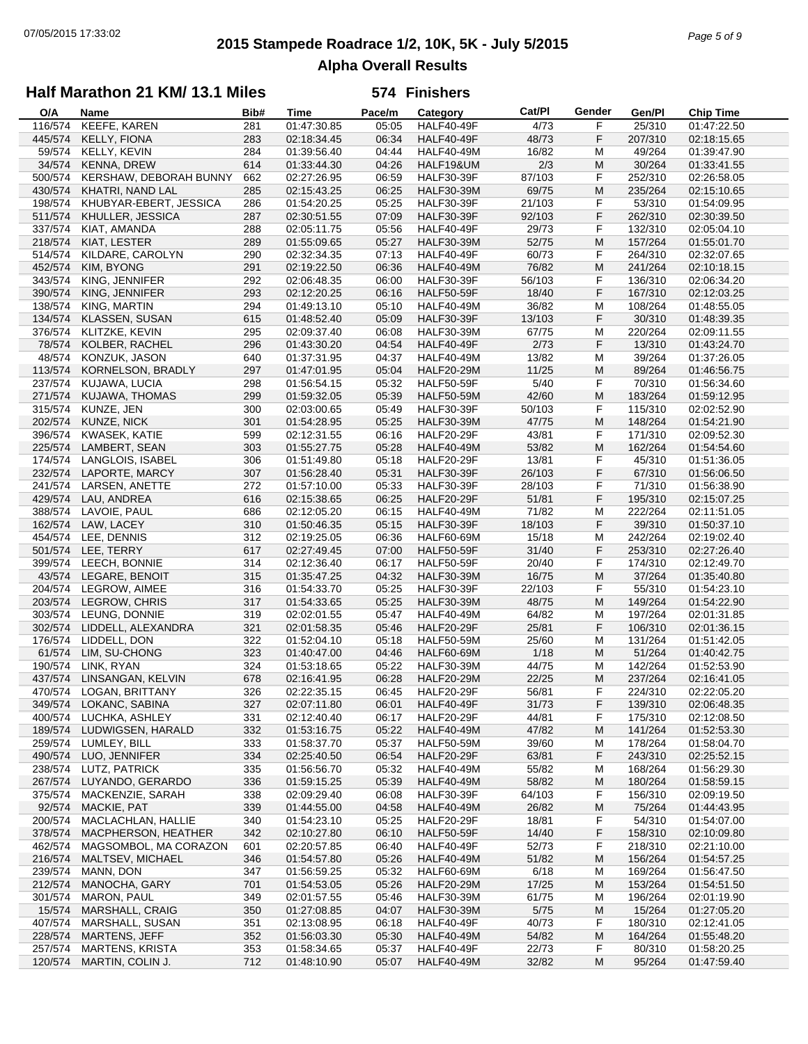# **2015 Stampede Roadrace 1/2, 10K, 5K - July 5/2015** 07/05/2015 17:33:02 *Page 5 of 9* **Alpha Overall Results**

## **Half Marathon 21 KM/ 13.1 Miles**

| O/A     | Name                    | Bib# | Time        | Pace/m | Category          | Cat/PI | Gender | Gen/Pl  | <b>Chip Time</b> |
|---------|-------------------------|------|-------------|--------|-------------------|--------|--------|---------|------------------|
| 116/574 | KEEFE, KAREN            | 281  | 01:47:30.85 | 05:05  | <b>HALF40-49F</b> | 4/73   | F      | 25/310  | 01:47:22.50      |
| 445/574 | KELLY, FIONA            | 283  | 02:18:34.45 | 06:34  | HALF40-49F        | 48/73  | F      | 207/310 | 02:18:15.65      |
| 59/574  | KELLY, KEVIN            | 284  | 01:39:56.40 | 04:44  | <b>HALF40-49M</b> | 16/82  | M      | 49/264  | 01:39:47.90      |
| 34/574  | <b>KENNA, DREW</b>      | 614  | 01:33:44.30 | 04:26  | HALF19&UM         | 2/3    | M      | 30/264  | 01:33:41.55      |
| 500/574 | KERSHAW, DEBORAH BUNNY  | 662  | 02:27:26.95 | 06:59  | <b>HALF30-39F</b> | 87/103 | F      | 252/310 | 02:26:58.05      |
| 430/574 | KHATRI, NAND LAL        | 285  | 02:15:43.25 | 06:25  | <b>HALF30-39M</b> | 69/75  | M      | 235/264 | 02:15:10.65      |
| 198/574 | KHUBYAR-EBERT, JESSICA  | 286  | 01:54:20.25 | 05:25  | <b>HALF30-39F</b> | 21/103 | F      | 53/310  | 01:54:09.95      |
| 511/574 | KHULLER, JESSICA        | 287  | 02:30:51.55 | 07:09  | <b>HALF30-39F</b> | 92/103 | F      | 262/310 | 02:30:39.50      |
| 337/574 | KIAT, AMANDA            | 288  | 02:05:11.75 | 05:56  | HALF40-49F        | 29/73  | F      | 132/310 | 02:05:04.10      |
| 218/574 | KIAT, LESTER            | 289  | 01:55:09.65 | 05:27  | <b>HALF30-39M</b> | 52/75  | M      | 157/264 | 01:55:01.70      |
| 514/574 | KILDARE, CAROLYN        | 290  | 02:32:34.35 | 07:13  | HALF40-49F        | 60/73  | F      | 264/310 | 02:32:07.65      |
|         |                         |      | 02:19:22.50 |        |                   |        | M      |         | 02:10:18.15      |
| 452/574 | KIM, BYONG              | 291  |             | 06:36  | <b>HALF40-49M</b> | 76/82  |        | 241/264 |                  |
| 343/574 | KING, JENNIFER          | 292  | 02:06:48.35 | 06:00  | <b>HALF30-39F</b> | 56/103 | F      | 136/310 | 02:06:34.20      |
| 390/574 | KING, JENNIFER          | 293  | 02:12:20.25 | 06:16  | <b>HALF50-59F</b> | 18/40  | F      | 167/310 | 02:12:03.25      |
| 138/574 | KING, MARTIN            | 294  | 01:49:13.10 | 05:10  | <b>HALF40-49M</b> | 36/82  | M      | 108/264 | 01:48:55.05      |
| 134/574 | KLASSEN, SUSAN          | 615  | 01:48:52.40 | 05:09  | <b>HALF30-39F</b> | 13/103 | F      | 30/310  | 01:48:39.35      |
| 376/574 | KLITZKE, KEVIN          | 295  | 02:09:37.40 | 06:08  | <b>HALF30-39M</b> | 67/75  | M      | 220/264 | 02:09:11.55      |
| 78/574  | KOLBER, RACHEL          | 296  | 01:43:30.20 | 04:54  | HALF40-49F        | 2/73   | F      | 13/310  | 01:43:24.70      |
| 48/574  | KONZUK, JASON           | 640  | 01:37:31.95 | 04:37  | <b>HALF40-49M</b> | 13/82  | M      | 39/264  | 01:37:26.05      |
| 113/574 | KORNELSON, BRADLY       | 297  | 01:47:01.95 | 05:04  | <b>HALF20-29M</b> | 11/25  | M      | 89/264  | 01:46:56.75      |
| 237/574 | KUJAWA, LUCIA           | 298  | 01:56:54.15 | 05:32  | <b>HALF50-59F</b> | 5/40   | F      | 70/310  | 01:56:34.60      |
| 271/574 | <b>KUJAWA, THOMAS</b>   | 299  | 01:59:32.05 | 05:39  | <b>HALF50-59M</b> | 42/60  | M      | 183/264 | 01:59:12.95      |
| 315/574 | KUNZE, JEN              | 300  | 02:03:00.65 | 05:49  | <b>HALF30-39F</b> | 50/103 | F      | 115/310 | 02:02:52.90      |
| 202/574 | KUNZE, NICK             | 301  | 01:54:28.95 | 05:25  | <b>HALF30-39M</b> | 47/75  | M      | 148/264 | 01:54:21.90      |
| 396/574 | KWASEK, KATIE           | 599  | 02:12:31.55 | 06:16  | <b>HALF20-29F</b> | 43/81  | F      | 171/310 | 02:09:52.30      |
| 225/574 | LAMBERT, SEAN           | 303  | 01:55:27.75 | 05:28  | <b>HALF40-49M</b> | 53/82  | M      | 162/264 | 01:54:54.60      |
| 174/574 | LANGLOIS, ISABEL        | 306  | 01:51:49.80 | 05:18  | <b>HALF20-29F</b> | 13/81  | F      | 45/310  | 01:51:36.05      |
| 232/574 | LAPORTE, MARCY          | 307  | 01:56:28.40 | 05:31  | <b>HALF30-39F</b> | 26/103 | F      | 67/310  | 01:56:06.50      |
| 241/574 | LARSEN, ANETTE          | 272  | 01:57:10.00 | 05:33  | <b>HALF30-39F</b> | 28/103 | F      | 71/310  | 01:56:38.90      |
| 429/574 | LAU, ANDREA             | 616  | 02:15:38.65 | 06:25  | <b>HALF20-29F</b> | 51/81  | F      | 195/310 | 02:15:07.25      |
| 388/574 |                         |      |             |        |                   |        |        |         |                  |
|         | LAVOIE, PAUL            | 686  | 02:12:05.20 | 06:15  | <b>HALF40-49M</b> | 71/82  | M      | 222/264 | 02:11:51.05      |
| 162/574 | LAW, LACEY              | 310  | 01:50:46.35 | 05:15  | <b>HALF30-39F</b> | 18/103 | F      | 39/310  | 01:50:37.10      |
| 454/574 | LEE, DENNIS             | 312  | 02:19:25.05 | 06:36  | <b>HALF60-69M</b> | 15/18  | M      | 242/264 | 02:19:02.40      |
| 501/574 | LEE, TERRY              | 617  | 02:27:49.45 | 07:00  | <b>HALF50-59F</b> | 31/40  | F      | 253/310 | 02:27:26.40      |
|         | 399/574 LEECH, BONNIE   | 314  | 02:12:36.40 | 06:17  | <b>HALF50-59F</b> | 20/40  | F      | 174/310 | 02:12:49.70      |
| 43/574  | LEGARE, BENOIT          | 315  | 01:35:47.25 | 04:32  | <b>HALF30-39M</b> | 16/75  | M      | 37/264  | 01:35:40.80      |
| 204/574 | LEGROW, AIMEE           | 316  | 01:54:33.70 | 05:25  | <b>HALF30-39F</b> | 22/103 | F      | 55/310  | 01:54:23.10      |
| 203/574 | LEGROW, CHRIS           | 317  | 01:54:33.65 | 05:25  | <b>HALF30-39M</b> | 48/75  | M      | 149/264 | 01:54:22.90      |
|         | 303/574 LEUNG, DONNIE   | 319  | 02:02:01.55 | 05:47  | <b>HALF40-49M</b> | 64/82  | M      | 197/264 | 02:01:31.85      |
| 302/574 | LIDDELL, ALEXANDRA      | 321  | 02:01:58.35 | 05:46  | <b>HALF20-29F</b> | 25/81  | F      | 106/310 | 02:01:36.15      |
| 176/574 | LIDDELL, DON            | 322  | 01:52:04.10 | 05:18  | <b>HALF50-59M</b> | 25/60  | M      | 131/264 | 01:51:42.05      |
| 61/574  | LIM, SU-CHONG           | 323  | 01:40:47.00 | 04:46  | <b>HALF60-69M</b> | 1/18   | M      | 51/264  | 01:40:42.75      |
| 190/574 | LINK, RYAN              | 324  | 01:53:18.65 | 05:22  | <b>HALF30-39M</b> | 44/75  | M      | 142/264 | 01:52:53.90      |
| 437/574 | LINSANGAN, KELVIN       | 678  | 02:16:41.95 | 06:28  | <b>HALF20-29M</b> | 22/25  | M      | 237/264 | 02:16:41.05      |
|         | 470/574 LOGAN, BRITTANY | 326  | 02:22:35.15 | 06:45  | <b>HALF20-29F</b> | 56/81  | F      | 224/310 | 02:22:05.20      |
| 349/574 | LOKANC, SABINA          | 327  | 02:07:11.80 | 06:01  | <b>HALF40-49F</b> | 31/73  | F      | 139/310 | 02:06:48.35      |
| 400/574 | LUCHKA, ASHLEY          | 331  | 02:12:40.40 | 06:17  | <b>HALF20-29F</b> | 44/81  | F      | 175/310 | 02:12:08.50      |
| 189/574 | LUDWIGSEN, HARALD       | 332  | 01:53:16.75 | 05:22  | <b>HALF40-49M</b> | 47/82  | M      | 141/264 | 01:52:53.30      |
| 259/574 | LUMLEY, BILL            | 333  | 01:58:37.70 | 05:37  | <b>HALF50-59M</b> | 39/60  | M      | 178/264 | 01:58:04.70      |
| 490/574 | LUO, JENNIFER           | 334  | 02:25:40.50 | 06:54  | <b>HALF20-29F</b> | 63/81  | F      | 243/310 | 02:25:52.15      |
| 238/574 | LUTZ, PATRICK           | 335  | 01:56:56.70 | 05:32  | <b>HALF40-49M</b> | 55/82  | M      | 168/264 | 01:56:29.30      |
| 267/574 | LUYANDO, GERARDO        | 336  | 01:59:15.25 | 05:39  | <b>HALF40-49M</b> | 58/82  | M      | 180/264 | 01:58:59.15      |
| 375/574 | MACKENZIE, SARAH        | 338  | 02:09:29.40 | 06:08  | <b>HALF30-39F</b> | 64/103 | F      | 156/310 | 02:09:19.50      |
|         |                         |      |             |        |                   |        |        |         |                  |
| 92/574  | MACKIE, PAT             | 339  | 01:44:55.00 | 04:58  | <b>HALF40-49M</b> | 26/82  | M      | 75/264  | 01:44:43.95      |
| 200/574 | MACLACHLAN, HALLIE      | 340  | 01:54:23.10 | 05:25  | <b>HALF20-29F</b> | 18/81  | F      | 54/310  | 01:54:07.00      |
| 378/574 | MACPHERSON, HEATHER     | 342  | 02:10:27.80 | 06:10  | <b>HALF50-59F</b> | 14/40  | F      | 158/310 | 02:10:09.80      |
| 462/574 | MAGSOMBOL, MA CORAZON   | 601  | 02:20:57.85 | 06:40  | HALF40-49F        | 52/73  | F      | 218/310 | 02:21:10.00      |
| 216/574 | MALTSEV, MICHAEL        | 346  | 01:54:57.80 | 05:26  | <b>HALF40-49M</b> | 51/82  | M      | 156/264 | 01:54:57.25      |
| 239/574 | MANN, DON               | 347  | 01:56:59.25 | 05:32  | <b>HALF60-69M</b> | 6/18   | M      | 169/264 | 01:56:47.50      |
| 212/574 | MANOCHA, GARY           | 701  | 01:54:53.05 | 05:26  | <b>HALF20-29M</b> | 17/25  | M      | 153/264 | 01:54:51.50      |
| 301/574 | <b>MARON, PAUL</b>      | 349  | 02:01:57.55 | 05:46  | <b>HALF30-39M</b> | 61/75  | M      | 196/264 | 02:01:19.90      |
| 15/574  | MARSHALL, CRAIG         | 350  | 01:27:08.85 | 04:07  | <b>HALF30-39M</b> | $5/75$ | M      | 15/264  | 01:27:05.20      |
| 407/574 | MARSHALL, SUSAN         | 351  | 02:13:08.95 | 06:18  | <b>HALF40-49F</b> | 40/73  | F      | 180/310 | 02:12:41.05      |
| 228/574 | <b>MARTENS, JEFF</b>    | 352  | 01:56:03.30 | 05:30  | <b>HALF40-49M</b> | 54/82  | M      | 164/264 | 01:55:48.20      |
| 257/574 | <b>MARTENS, KRISTA</b>  | 353  | 01:58:34.65 | 05:37  | HALF40-49F        | 22/73  | F      | 80/310  | 01:58:20.25      |
| 120/574 | MARTIN, COLIN J.        | 712  | 01:48:10.90 | 05:07  | <b>HALF40-49M</b> | 32/82  | M      | 95/264  | 01:47:59.40      |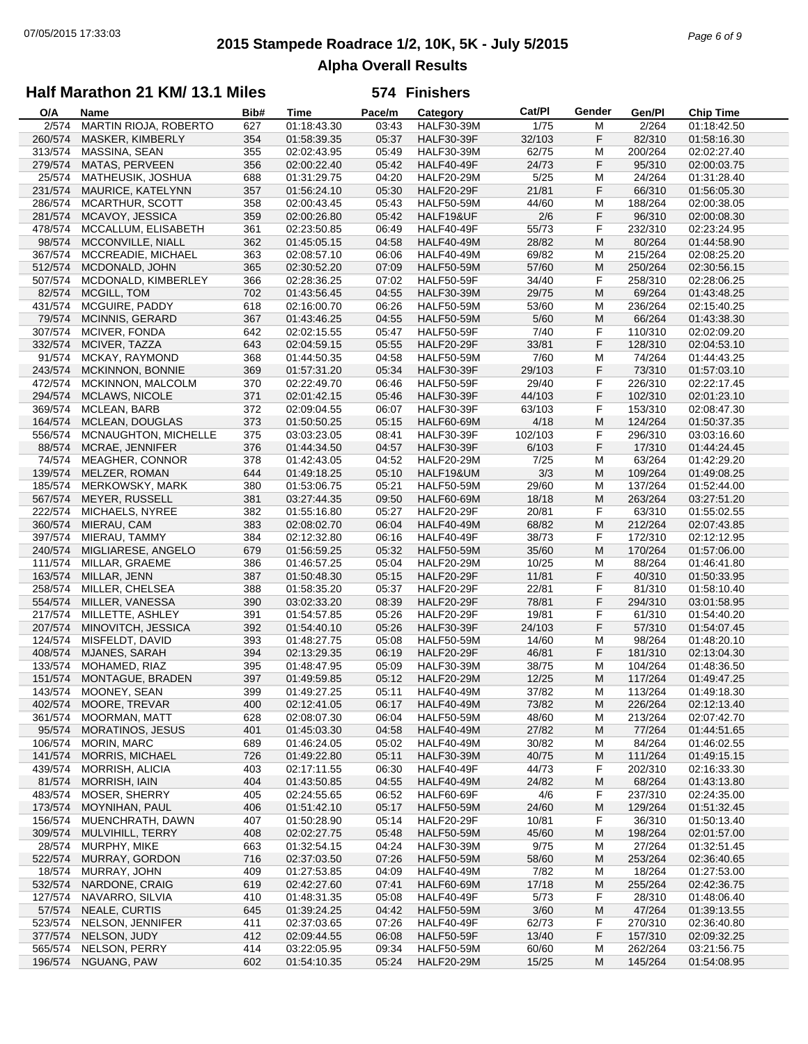# **2015 Stampede Roadrace 1/2, 10K, 5K - July 5/2015** 07/05/2015 17:33:03 *Page 6 of 9* **Alpha Overall Results**

### **Half Marathon 21 KM/ 13.1 Miles**

| O/A     | Name                         | Bib# | <b>Time</b> | Pace/m | Category          | Cat/PI  | Gender | Gen/Pl  | <b>Chip Time</b> |
|---------|------------------------------|------|-------------|--------|-------------------|---------|--------|---------|------------------|
| 2/574   | <b>MARTIN RIOJA, ROBERTO</b> | 627  | 01:18:43.30 | 03:43  | <b>HALF30-39M</b> | 1/75    | М      | 2/264   | 01:18:42.50      |
| 260/574 | MASKER, KIMBERLY             | 354  | 01:58:39.35 | 05:37  | <b>HALF30-39F</b> | 32/103  | F      | 82/310  | 01:58:16.30      |
| 313/574 | MASSINA, SEAN                | 355  | 02:02:43.95 | 05:49  | <b>HALF30-39M</b> | 62/75   | M      | 200/264 | 02:02:27.40      |
| 279/574 | MATAS, PERVEEN               | 356  | 02:00:22.40 | 05:42  | <b>HALF40-49F</b> | 24/73   | F      | 95/310  | 02:00:03.75      |
|         | MATHEUSIK, JOSHUA            |      |             |        |                   |         | M      |         | 01:31:28.40      |
| 25/574  |                              | 688  | 01:31:29.75 | 04:20  | <b>HALF20-29M</b> | 5/25    |        | 24/264  |                  |
| 231/574 | MAURICE, KATELYNN            | 357  | 01:56:24.10 | 05:30  | <b>HALF20-29F</b> | 21/81   | F      | 66/310  | 01:56:05.30      |
| 286/574 | MCARTHUR, SCOTT              | 358  | 02:00:43.45 | 05:43  | <b>HALF50-59M</b> | 44/60   | M      | 188/264 | 02:00:38.05      |
| 281/574 | MCAVOY, JESSICA              | 359  | 02:00:26.80 | 05:42  | HALF19&UF         | 2/6     | F      | 96/310  | 02:00:08.30      |
| 478/574 | MCCALLUM, ELISABETH          | 361  | 02:23:50.85 | 06:49  | <b>HALF40-49F</b> | 55/73   | F      | 232/310 | 02:23:24.95      |
| 98/574  | MCCONVILLE, NIALL            | 362  | 01:45:05.15 | 04:58  | <b>HALF40-49M</b> | 28/82   | M      | 80/264  | 01:44:58.90      |
| 367/574 | MCCREADIE, MICHAEL           | 363  | 02:08:57.10 | 06:06  | <b>HALF40-49M</b> | 69/82   | M      | 215/264 | 02:08:25.20      |
| 512/574 | MCDONALD, JOHN               | 365  | 02:30:52.20 | 07:09  | <b>HALF50-59M</b> | 57/60   | M      | 250/264 | 02:30:56.15      |
| 507/574 | MCDONALD, KIMBERLEY          | 366  | 02:28:36.25 | 07:02  | <b>HALF50-59F</b> | 34/40   | F      | 258/310 | 02:28:06.25      |
| 82/574  | MCGILL, TOM                  | 702  | 01:43:56.45 | 04:55  | <b>HALF30-39M</b> | 29/75   | M      | 69/264  | 01:43:48.25      |
|         |                              |      |             |        |                   |         |        |         |                  |
| 431/574 | MCGUIRE, PADDY               | 618  | 02:16:00.70 | 06:26  | <b>HALF50-59M</b> | 53/60   | M      | 236/264 | 02:15:40.25      |
| 79/574  | <b>MCINNIS, GERARD</b>       | 367  | 01:43:46.25 | 04:55  | <b>HALF50-59M</b> | 5/60    | M      | 66/264  | 01:43:38.30      |
| 307/574 | MCIVER, FONDA                | 642  | 02:02:15.55 | 05:47  | <b>HALF50-59F</b> | 7/40    | F      | 110/310 | 02:02:09.20      |
| 332/574 | MCIVER, TAZZA                | 643  | 02:04:59.15 | 05:55  | <b>HALF20-29F</b> | 33/81   | F      | 128/310 | 02:04:53.10      |
| 91/574  | MCKAY, RAYMOND               | 368  | 01:44:50.35 | 04:58  | <b>HALF50-59M</b> | 7/60    | M      | 74/264  | 01:44:43.25      |
| 243/574 | MCKINNON, BONNIE             | 369  | 01:57:31.20 | 05:34  | <b>HALF30-39F</b> | 29/103  | F      | 73/310  | 01:57:03.10      |
| 472/574 | <b>MCKINNON, MALCOLM</b>     | 370  | 02:22:49.70 | 06:46  | <b>HALF50-59F</b> | 29/40   | F      | 226/310 | 02:22:17.45      |
| 294/574 | <b>MCLAWS, NICOLE</b>        | 371  | 02:01:42.15 | 05:46  | <b>HALF30-39F</b> | 44/103  | F      | 102/310 | 02:01:23.10      |
| 369/574 | MCLEAN, BARB                 | 372  | 02:09:04.55 | 06:07  | <b>HALF30-39F</b> | 63/103  | F      | 153/310 | 02:08:47.30      |
| 164/574 | MCLEAN, DOUGLAS              | 373  | 01:50:50.25 | 05:15  | <b>HALF60-69M</b> | 4/18    | M      | 124/264 | 01:50:37.35      |
|         |                              |      |             |        |                   |         |        |         |                  |
| 556/574 | MCNAUGHTON, MICHELLE         | 375  | 03:03:23.05 | 08:41  | <b>HALF30-39F</b> | 102/103 | F      | 296/310 | 03:03:16.60      |
| 88/574  | MCRAE, JENNIFER              | 376  | 01:44:34.50 | 04:57  | <b>HALF30-39F</b> | 6/103   | F      | 17/310  | 01:44:24.45      |
| 74/574  | <b>MEAGHER, CONNOR</b>       | 378  | 01:42:43.05 | 04:52  | <b>HALF20-29M</b> | 7/25    | м      | 63/264  | 01:42:29.20      |
| 139/574 | MELZER, ROMAN                | 644  | 01:49:18.25 | 05:10  | HALF19&UM         | 3/3     | M      | 109/264 | 01:49:08.25      |
| 185/574 | MERKOWSKY, MARK              | 380  | 01:53:06.75 | 05:21  | <b>HALF50-59M</b> | 29/60   | м      | 137/264 | 01:52:44.00      |
| 567/574 | <b>MEYER, RUSSELL</b>        | 381  | 03:27:44.35 | 09:50  | <b>HALF60-69M</b> | 18/18   | M      | 263/264 | 03:27:51.20      |
| 222/574 | MICHAELS, NYREE              | 382  | 01:55:16.80 | 05:27  | <b>HALF20-29F</b> | 20/81   | F      | 63/310  | 01:55:02.55      |
| 360/574 | MIERAU, CAM                  | 383  | 02:08:02.70 | 06:04  | <b>HALF40-49M</b> | 68/82   | M      | 212/264 | 02:07:43.85      |
| 397/574 | MIERAU, TAMMY                | 384  | 02:12:32.80 | 06:16  | HALF40-49F        | 38/73   | F      | 172/310 | 02:12:12.95      |
| 240/574 | MIGLIARESE, ANGELO           | 679  | 01:56:59.25 | 05:32  | <b>HALF50-59M</b> | 35/60   | M      | 170/264 | 01:57:06.00      |
| 111/574 | MILLAR, GRAEME               | 386  | 01:46:57.25 | 05:04  | <b>HALF20-29M</b> | 10/25   | M      | 88/264  | 01:46:41.80      |
|         |                              |      |             |        |                   |         | F      | 40/310  |                  |
| 163/574 | MILLAR, JENN                 | 387  | 01:50:48.30 | 05:15  | <b>HALF20-29F</b> | 11/81   |        |         | 01:50:33.95      |
| 258/574 | MILLER, CHELSEA              | 388  | 01:58:35.20 | 05:37  | <b>HALF20-29F</b> | 22/81   | F      | 81/310  | 01:58:10.40      |
| 554/574 | MILLER, VANESSA              | 390  | 03:02:33.20 | 08:39  | <b>HALF20-29F</b> | 78/81   | F      | 294/310 | 03:01:58.95      |
| 217/574 | MILLETTE, ASHLEY             | 391  | 01:54:57.85 | 05:26  | <b>HALF20-29F</b> | 19/81   | F      | 61/310  | 01:54:40.20      |
| 207/574 | MINOVITCH, JESSICA           | 392  | 01:54:40.10 | 05:26  | <b>HALF30-39F</b> | 24/103  | F      | 57/310  | 01:54:07.45      |
| 124/574 | MISFELDT, DAVID              | 393  | 01:48:27.75 | 05:08  | <b>HALF50-59M</b> | 14/60   | M      | 98/264  | 01:48:20.10      |
| 408/574 | MJANES, SARAH                | 394  | 02:13:29.35 | 06:19  | <b>HALF20-29F</b> | 46/81   | F      | 181/310 | 02:13:04.30      |
| 133/574 | MOHAMED, RIAZ                | 395  | 01:48:47.95 | 05:09  | <b>HALF30-39M</b> | 38/75   | м      | 104/264 | 01:48:36.50      |
| 151/574 | MONTAGUE, BRADEN             | 397  | 01:49:59.85 | 05:12  | <b>HALF20-29M</b> | 12/25   | M      | 117/264 | 01:49:47.25      |
| 143/574 | MOONEY, SEAN                 | 399  | 01:49:27.25 | 05:11  | <b>HALF40-49M</b> | 37/82   | M      | 113/264 | 01:49:18.30      |
| 402/574 | MOORE, TREVAR                | 400  | 02:12:41.05 | 06:17  | <b>HALF40-49M</b> | 73/82   | M      | 226/264 | 02:12:13.40      |
|         |                              |      |             |        |                   |         |        |         |                  |
| 361/574 | <b>MOORMAN, MATT</b>         | 628  | 02:08:07.30 | 06:04  | <b>HALF50-59M</b> | 48/60   | M      | 213/264 | 02:07:42.70      |
| 95/574  | <b>MORATINOS, JESUS</b>      | 401  | 01:45:03.30 | 04:58  | <b>HALF40-49M</b> | 27/82   | M      | 77/264  | 01:44:51.65      |
| 106/574 | MORIN, MARC                  | 689  | 01:46:24.05 | 05:02  | <b>HALF40-49M</b> | 30/82   | м      | 84/264  | 01:46:02.55      |
| 141/574 | MORRIS, MICHAEL              | 726  | 01:49:22.80 | 05:11  | <b>HALF30-39M</b> | 40/75   | M      | 111/264 | 01:49:15.15      |
| 439/574 | <b>MORRISH, ALICIA</b>       | 403  | 02:17:11.55 | 06:30  | <b>HALF40-49F</b> | 44/73   | F      | 202/310 | 02:16:33.30      |
| 81/574  | <b>MORRISH, IAIN</b>         | 404  | 01:43:50.85 | 04:55  | <b>HALF40-49M</b> | 24/82   | M      | 68/264  | 01:43:13.80      |
| 483/574 | MOSER, SHERRY                | 405  | 02:24:55.65 | 06:52  | <b>HALF60-69F</b> | 4/6     | F      | 237/310 | 02:24:35.00      |
| 173/574 | MOYNIHAN, PAUL               | 406  | 01:51:42.10 | 05:17  | <b>HALF50-59M</b> | 24/60   | M      | 129/264 | 01:51:32.45      |
| 156/574 | MUENCHRATH, DAWN             | 407  | 01:50:28.90 | 05:14  | HALF20-29F        | 10/81   | F      | 36/310  | 01:50:13.40      |
| 309/574 | MULVIHILL, TERRY             | 408  | 02:02:27.75 | 05:48  | <b>HALF50-59M</b> | 45/60   | M      | 198/264 | 02:01:57.00      |
| 28/574  | MURPHY, MIKE                 | 663  | 01:32:54.15 | 04:24  | <b>HALF30-39M</b> | 9/75    | м      | 27/264  | 01:32:51.45      |
|         |                              |      |             |        |                   |         |        |         |                  |
| 522/574 | MURRAY, GORDON               | 716  | 02:37:03.50 | 07:26  | <b>HALF50-59M</b> | 58/60   | M      | 253/264 | 02:36:40.65      |
| 18/574  | MURRAY, JOHN                 | 409  | 01:27:53.85 | 04:09  | <b>HALF40-49M</b> | 7/82    | M      | 18/264  | 01:27:53.00      |
| 532/574 | NARDONE, CRAIG               | 619  | 02:42:27.60 | 07:41  | <b>HALF60-69M</b> | 17/18   | M      | 255/264 | 02:42:36.75      |
| 127/574 | NAVARRO, SILVIA              | 410  | 01:48:31.35 | 05:08  | HALF40-49F        | 5/73    | F      | 28/310  | 01:48:06.40      |
| 57/574  | NEALE, CURTIS                | 645  | 01:39:24.25 | 04:42  | <b>HALF50-59M</b> | 3/60    | M      | 47/264  | 01:39:13.55      |
| 523/574 | NELSON, JENNIFER             | 411  | 02:37:03.65 | 07:26  | <b>HALF40-49F</b> | 62/73   | F      | 270/310 | 02:36:40.80      |
| 377/574 | NELSON, JUDY                 | 412  | 02:09:44.55 | 06:08  | <b>HALF50-59F</b> | 13/40   | F      | 157/310 | 02:09:32.25      |
| 565/574 | NELSON, PERRY                | 414  | 03:22:05.95 | 09:34  | <b>HALF50-59M</b> | 60/60   | M      | 262/264 | 03:21:56.75      |
| 196/574 | NGUANG, PAW                  | 602  | 01:54:10.35 | 05:24  | <b>HALF20-29M</b> | 15/25   | M      | 145/264 | 01:54:08.95      |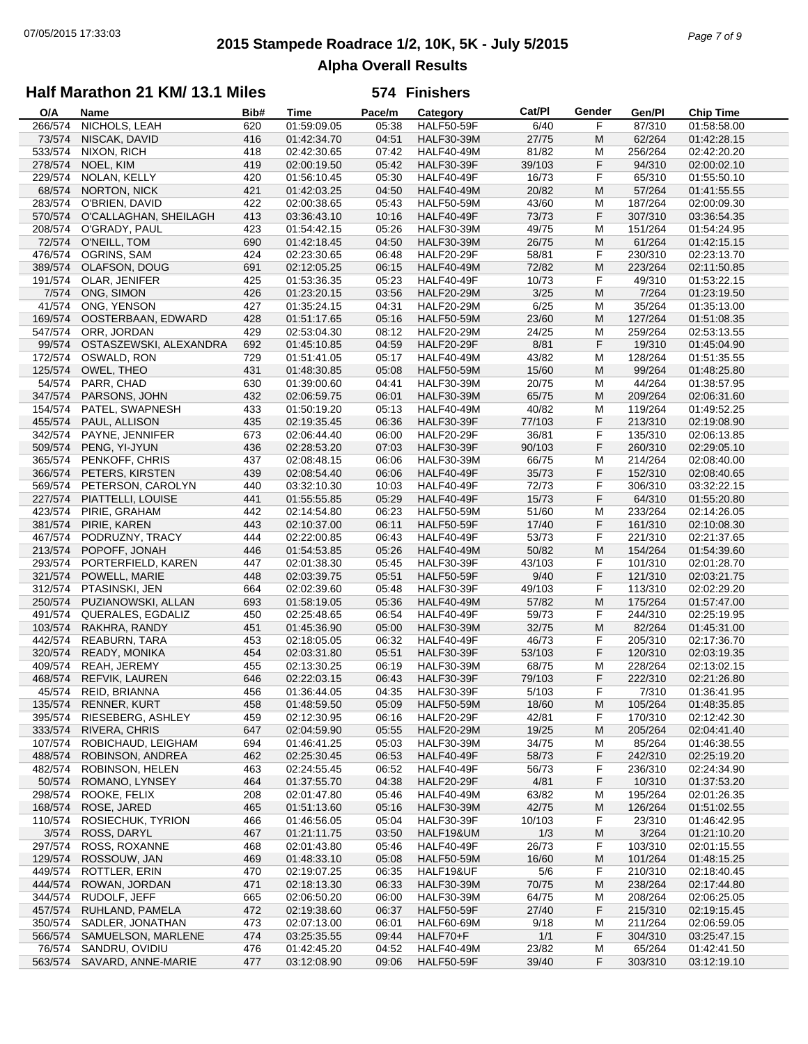# **2015 Stampede Roadrace 1/2, 10K, 5K - July 5/2015** 07/05/2015 17:33:03 *Page 7 of 9* **Alpha Overall Results**

### **Half Marathon 21 KM/ 13.1 Miles**

| O/A     | Name                       | Bib# | <b>Time</b> | Pace/m | Category          | Cat/PI | Gender | Gen/Pl  | <b>Chip Time</b> |
|---------|----------------------------|------|-------------|--------|-------------------|--------|--------|---------|------------------|
| 266/574 | NICHOLS, LEAH              | 620  | 01:59:09.05 | 05:38  | <b>HALF50-59F</b> | 6/40   | F      | 87/310  | 01:58:58.00      |
| 73/574  | NISCAK, DAVID              | 416  | 01:42:34.70 | 04:51  | <b>HALF30-39M</b> | 27/75  | M      | 62/264  | 01:42:28.15      |
| 533/574 | NIXON, RICH                | 418  | 02:42:30.65 | 07:42  | <b>HALF40-49M</b> | 81/82  | M      | 256/264 | 02:42:20.20      |
| 278/574 | NOEL, KIM                  | 419  | 02:00:19.50 | 05:42  | <b>HALF30-39F</b> | 39/103 | F      | 94/310  | 02:00:02.10      |
|         | NOLAN, KELLY               |      | 01:56:10.45 | 05:30  |                   |        | F      |         |                  |
| 229/574 |                            | 420  |             |        | HALF40-49F        | 16/73  |        | 65/310  | 01:55:50.10      |
| 68/574  | NORTON, NICK               | 421  | 01:42:03.25 | 04:50  | <b>HALF40-49M</b> | 20/82  | M      | 57/264  | 01:41:55.55      |
| 283/574 | O'BRIEN, DAVID             | 422  | 02:00:38.65 | 05:43  | <b>HALF50-59M</b> | 43/60  | M      | 187/264 | 02:00:09.30      |
| 570/574 | O'CALLAGHAN, SHEILAGH      | 413  | 03:36:43.10 | 10:16  | HALF40-49F        | 73/73  | F      | 307/310 | 03:36:54.35      |
| 208/574 | O'GRADY, PAUL              | 423  | 01:54:42.15 | 05:26  | <b>HALF30-39M</b> | 49/75  | M      | 151/264 | 01:54:24.95      |
| 72/574  | O'NEILL, TOM               | 690  | 01:42:18.45 | 04:50  | <b>HALF30-39M</b> | 26/75  | M      | 61/264  | 01:42:15.15      |
| 476/574 | OGRINS, SAM                | 424  | 02:23:30.65 | 06:48  | HALF20-29F        | 58/81  | F      | 230/310 | 02:23:13.70      |
| 389/574 | OLAFSON, DOUG              | 691  | 02:12:05.25 | 06:15  | <b>HALF40-49M</b> | 72/82  | M      | 223/264 | 02:11:50.85      |
| 191/574 | OLAR, JENIFER              | 425  | 01:53:36.35 | 05:23  | HALF40-49F        | 10/73  | F      | 49/310  | 01:53:22.15      |
| 7/574   | ONG, SIMON                 | 426  | 01:23:20.15 | 03:56  | <b>HALF20-29M</b> | 3/25   | M      | 7/264   | 01:23:19.50      |
| 41/574  | ONG, YENSON                | 427  | 01:35:24.15 | 04:31  | <b>HALF20-29M</b> | 6/25   | M      | 35/264  | 01:35:13.00      |
| 169/574 | OOSTERBAAN, EDWARD         | 428  | 01:51:17.65 | 05:16  | <b>HALF50-59M</b> | 23/60  | M      | 127/264 | 01:51:08.35      |
| 547/574 | ORR, JORDAN                | 429  | 02:53:04.30 | 08:12  | <b>HALF20-29M</b> | 24/25  | M      | 259/264 | 02:53:13.55      |
|         |                            |      |             |        |                   |        | F      |         |                  |
| 99/574  | OSTASZEWSKI, ALEXANDRA     | 692  | 01:45:10.85 | 04:59  | <b>HALF20-29F</b> | 8/81   |        | 19/310  | 01:45:04.90      |
| 172/574 | OSWALD, RON                | 729  | 01:51:41.05 | 05:17  | <b>HALF40-49M</b> | 43/82  | M      | 128/264 | 01:51:35.55      |
| 125/574 | OWEL, THEO                 | 431  | 01:48:30.85 | 05:08  | <b>HALF50-59M</b> | 15/60  | M      | 99/264  | 01:48:25.80      |
| 54/574  | PARR, CHAD                 | 630  | 01:39:00.60 | 04:41  | <b>HALF30-39M</b> | 20/75  | M      | 44/264  | 01:38:57.95      |
| 347/574 | PARSONS, JOHN              | 432  | 02:06:59.75 | 06:01  | <b>HALF30-39M</b> | 65/75  | M      | 209/264 | 02:06:31.60      |
| 154/574 | PATEL, SWAPNESH            | 433  | 01:50:19.20 | 05:13  | <b>HALF40-49M</b> | 40/82  | M      | 119/264 | 01:49:52.25      |
| 455/574 | PAUL, ALLISON              | 435  | 02:19:35.45 | 06:36  | <b>HALF30-39F</b> | 77/103 | F      | 213/310 | 02:19:08.90      |
| 342/574 | PAYNE, JENNIFER            | 673  | 02:06:44.40 | 06:00  | <b>HALF20-29F</b> | 36/81  | F      | 135/310 | 02:06:13.85      |
| 509/574 | PENG, YI-JYUN              | 436  | 02:28:53.20 | 07:03  | <b>HALF30-39F</b> | 90/103 | F      | 260/310 | 02:29:05.10      |
| 365/574 | PENKOFF, CHRIS             | 437  | 02:08:48.15 | 06:06  | <b>HALF30-39M</b> | 66/75  | M      | 214/264 | 02:08:40.00      |
| 366/574 | PETERS, KIRSTEN            | 439  | 02:08:54.40 | 06:06  | <b>HALF40-49F</b> | 35/73  | F      | 152/310 | 02:08:40.65      |
|         | PETERSON, CAROLYN          |      |             |        |                   |        | F      |         |                  |
| 569/574 |                            | 440  | 03:32:10.30 | 10:03  | HALF40-49F        | 72/73  |        | 306/310 | 03:32:22.15      |
| 227/574 | PIATTELLI, LOUISE          | 441  | 01:55:55.85 | 05:29  | <b>HALF40-49F</b> | 15/73  | F      | 64/310  | 01:55:20.80      |
| 423/574 | PIRIE, GRAHAM              | 442  | 02:14:54.80 | 06:23  | <b>HALF50-59M</b> | 51/60  | M      | 233/264 | 02:14:26.05      |
| 381/574 | PIRIE, KAREN               | 443  | 02:10:37.00 | 06:11  | <b>HALF50-59F</b> | 17/40  | F      | 161/310 | 02:10:08.30      |
| 467/574 | PODRUZNY, TRACY            | 444  | 02:22:00.85 | 06:43  | HALF40-49F        | 53/73  | F      | 221/310 | 02:21:37.65      |
| 213/574 | POPOFF, JONAH              | 446  | 01:54:53.85 | 05:26  | <b>HALF40-49M</b> | 50/82  | M      | 154/264 | 01:54:39.60      |
| 293/574 | PORTERFIELD, KAREN         | 447  | 02:01:38.30 | 05:45  | <b>HALF30-39F</b> | 43/103 | F      | 101/310 | 02:01:28.70      |
| 321/574 | POWELL, MARIE              | 448  | 02:03:39.75 | 05:51  | <b>HALF50-59F</b> | 9/40   | F      | 121/310 | 02:03:21.75      |
| 312/574 | PTASINSKI, JEN             | 664  | 02:02:39.60 | 05:48  | <b>HALF30-39F</b> | 49/103 | F      | 113/310 | 02:02:29.20      |
| 250/574 | PUZIANOWSKI, ALLAN         | 693  | 01:58:19.05 | 05:36  | <b>HALF40-49M</b> | 57/82  | M      | 175/264 | 01:57:47.00      |
| 491/574 | QUERALES, EGDALIZ          | 450  | 02:25:48.65 | 06:54  | HALF40-49F        | 59/73  | F      | 244/310 | 02:25:19.95      |
| 103/574 | RAKHRA, RANDY              | 451  | 01:45:36.90 | 05:00  | <b>HALF30-39M</b> | 32/75  | M      | 82/264  | 01:45:31.00      |
| 442/574 | REABURN, TARA              | 453  | 02:18:05.05 | 06:32  | HALF40-49F        | 46/73  | F      | 205/310 | 02:17:36.70      |
| 320/574 | READY, MONIKA              | 454  | 02:03:31.80 | 05:51  | <b>HALF30-39F</b> | 53/103 | F      | 120/310 | 02:03:19.35      |
| 409/574 | REAH, JEREMY               | 455  | 02:13:30.25 | 06:19  | <b>HALF30-39M</b> | 68/75  | M      | 228/264 | 02:13:02.15      |
|         |                            |      |             |        |                   |        |        | 222/310 |                  |
| 468/574 | <b>REFVIK, LAUREN</b>      | 646  | 02:22:03.15 | 06:43  | <b>HALF30-39F</b> | 79/103 | F      |         | 02:21:26.80      |
|         | 45/574 REID, BRIANNA       | 456  | 01:36:44.05 | 04:35  | <b>HALF30-39F</b> | 5/103  | F      | 7/310   | 01:36:41.95      |
| 135/574 | <b>RENNER, KURT</b>        | 458  | 01:48:59.50 | 05:09  | <b>HALF50-59M</b> | 18/60  | M      | 105/264 | 01:48:35.85      |
| 395/574 | RIESEBERG, ASHLEY          | 459  | 02:12:30.95 | 06:16  | HALF20-29F        | 42/81  | F      | 170/310 | 02:12:42.30      |
| 333/574 | RIVERA, CHRIS              | 647  | 02:04:59.90 | 05:55  | <b>HALF20-29M</b> | 19/25  | M      | 205/264 | 02:04:41.40      |
| 107/574 | ROBICHAUD, LEIGHAM         | 694  | 01:46:41.25 | 05:03  | <b>HALF30-39M</b> | 34/75  | м      | 85/264  | 01:46:38.55      |
| 488/574 | ROBINSON, ANDREA           | 462  | 02:25:30.45 | 06:53  | <b>HALF40-49F</b> | 58/73  | F      | 242/310 | 02:25:19.20      |
| 482/574 | ROBINSON, HELEN            | 463  | 02:24:55.45 | 06:52  | HALF40-49F        | 56/73  | F      | 236/310 | 02:24:34.90      |
| 50/574  | ROMANO, LYNSEY             | 464  | 01:37:55.70 | 04:38  | <b>HALF20-29F</b> | 4/81   | F      | 10/310  | 01:37:53.20      |
| 298/574 | ROOKE, FELIX               | 208  | 02:01:47.80 | 05:46  | <b>HALF40-49M</b> | 63/82  | M      | 195/264 | 02:01:26.35      |
| 168/574 | ROSE, JARED                | 465  | 01:51:13.60 | 05:16  | <b>HALF30-39M</b> | 42/75  | M      | 126/264 | 01:51:02.55      |
| 110/574 | ROSIECHUK, TYRION          | 466  | 01:46:56.05 | 05:04  | <b>HALF30-39F</b> | 10/103 | F      | 23/310  | 01:46:42.95      |
| 3/574   | ROSS, DARYL                | 467  | 01:21:11.75 | 03:50  | HALF19&UM         | 1/3    | M      | 3/264   | 01:21:10.20      |
|         |                            |      |             |        |                   |        |        |         |                  |
| 297/574 | ROSS, ROXANNE              | 468  | 02:01:43.80 | 05:46  | HALF40-49F        | 26/73  | F      | 103/310 | 02:01:15.55      |
| 129/574 | ROSSOUW, JAN               | 469  | 01:48:33.10 | 05:08  | <b>HALF50-59M</b> | 16/60  | M      | 101/264 | 01:48:15.25      |
| 449/574 | ROTTLER, ERIN              | 470  | 02:19:07.25 | 06:35  | HALF19&UF         | 5/6    | F      | 210/310 | 02:18:40.45      |
| 444/574 | ROWAN, JORDAN              | 471  | 02:18:13.30 | 06:33  | <b>HALF30-39M</b> | 70/75  | M      | 238/264 | 02:17:44.80      |
| 344/574 | RUDOLF, JEFF               | 665  | 02:06:50.20 | 06:00  | <b>HALF30-39M</b> | 64/75  | M      | 208/264 | 02:06:25.05      |
| 457/574 | RUHLAND, PAMELA            | 472  | 02:19:38.60 | 06:37  | <b>HALF50-59F</b> | 27/40  | F      | 215/310 | 02:19:15.45      |
| 350/574 | SADLER, JONATHAN           | 473  | 02:07:13.00 | 06:01  | HALF60-69M        | 9/18   | M      | 211/264 | 02:06:59.05      |
| 566/574 | SAMUELSON, MARLENE         | 474  | 03:25:35.55 | 09:44  | HALF70+F          | 1/1    | F      | 304/310 | 03:25:47.15      |
| 76/574  | SANDRU, OVIDIU             | 476  | 01:42:45.20 | 04:52  | <b>HALF40-49M</b> | 23/82  | M      | 65/264  | 01:42:41.50      |
|         | 563/574 SAVARD, ANNE-MARIE | 477  | 03:12:08.90 | 09:06  | <b>HALF50-59F</b> | 39/40  | F      | 303/310 | 03:12:19.10      |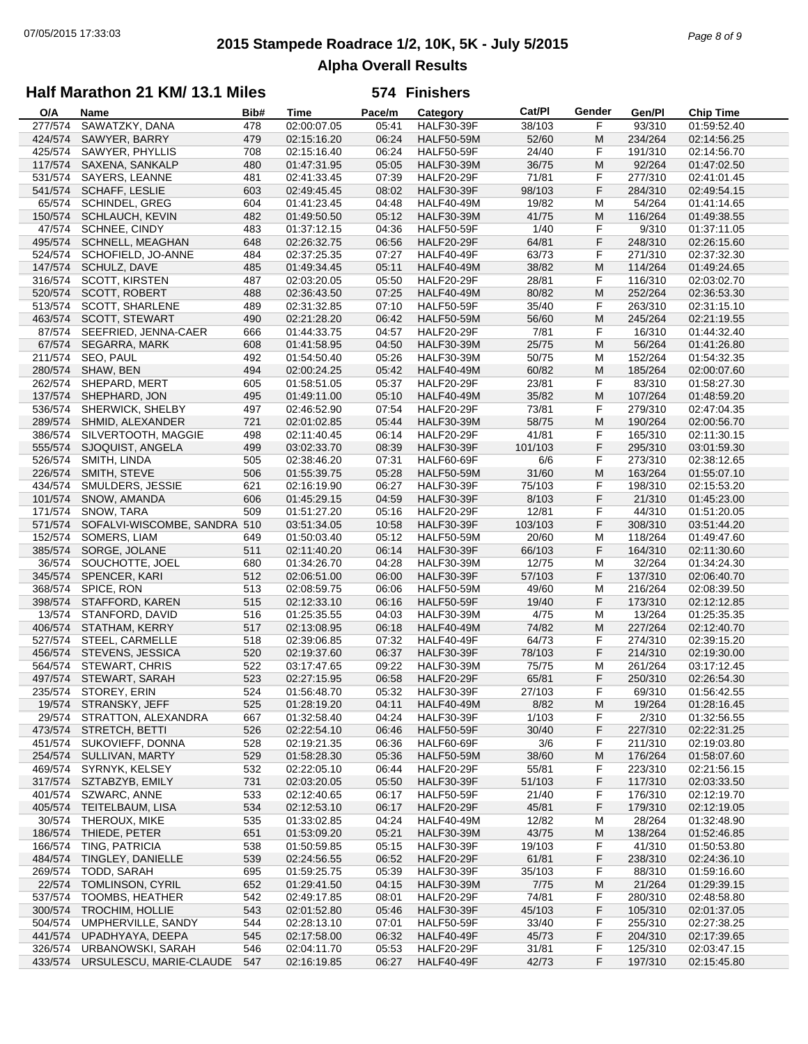# **2015 Stampede Roadrace 1/2, 10K, 5K - July 5/2015** 07/05/2015 17:33:03 *Page 8 of 9* **Alpha Overall Results**

## **Half Marathon 21 KM/ 13.1 Miles**

| O/A     | Name                         | Bib# | Time        | Pace/m | Category          | Cat/PI  | Gender | Gen/Pl  | <b>Chip Time</b> |
|---------|------------------------------|------|-------------|--------|-------------------|---------|--------|---------|------------------|
| 277/574 | SAWATZKY, DANA               | 478  | 02:00:07.05 | 05:41  | <b>HALF30-39F</b> | 38/103  | F      | 93/310  | 01:59:52.40      |
| 424/574 | SAWYER, BARRY                | 479  | 02:15:16.20 | 06:24  | <b>HALF50-59M</b> | 52/60   | M      | 234/264 | 02:14:56.25      |
| 425/574 | SAWYER, PHYLLIS              | 708  | 02:15:16.40 | 06:24  | <b>HALF50-59F</b> | 24/40   | F      | 191/310 | 02:14:56.70      |
| 117/574 | SAXENA, SANKALP              | 480  | 01:47:31.95 | 05:05  | <b>HALF30-39M</b> | 36/75   | M      | 92/264  | 01:47:02.50      |
| 531/574 | SAYERS, LEANNE               | 481  | 02:41:33.45 | 07:39  | <b>HALF20-29F</b> | 71/81   | F      | 277/310 | 02:41:01.45      |
| 541/574 | SCHAFF, LESLIE               | 603  | 02:49:45.45 | 08:02  | <b>HALF30-39F</b> | 98/103  | F      | 284/310 | 02:49:54.15      |
| 65/574  | <b>SCHINDEL, GREG</b>        | 604  | 01:41:23.45 | 04:48  | <b>HALF40-49M</b> | 19/82   | M      | 54/264  | 01:41:14.65      |
| 150/574 | <b>SCHLAUCH, KEVIN</b>       | 482  | 01:49:50.50 | 05:12  | <b>HALF30-39M</b> | 41/75   | M      | 116/264 | 01:49:38.55      |
| 47/574  | SCHNEE, CINDY                | 483  | 01:37:12.15 | 04:36  | <b>HALF50-59F</b> | 1/40    | F      | 9/310   | 01:37:11.05      |
| 495/574 | SCHNELL, MEAGHAN             | 648  | 02:26:32.75 | 06:56  | <b>HALF20-29F</b> | 64/81   | F      | 248/310 | 02:26:15.60      |
| 524/574 | SCHOFIELD, JO-ANNE           | 484  | 02:37:25.35 | 07:27  | HALF40-49F        | 63/73   | F      | 271/310 | 02:37:32.30      |
|         |                              |      | 01:49:34.45 |        |                   |         |        |         |                  |
| 147/574 | SCHULZ, DAVE                 | 485  |             | 05:11  | <b>HALF40-49M</b> | 38/82   | M      | 114/264 | 01:49:24.65      |
| 316/574 | <b>SCOTT, KIRSTEN</b>        | 487  | 02:03:20.05 | 05:50  | <b>HALF20-29F</b> | 28/81   | F      | 116/310 | 02:03:02.70      |
| 520/574 | <b>SCOTT, ROBERT</b>         | 488  | 02:36:43.50 | 07:25  | <b>HALF40-49M</b> | 80/82   | M      | 252/264 | 02:36:53.30      |
| 513/574 | SCOTT, SHARLENE              | 489  | 02:31:32.85 | 07:10  | <b>HALF50-59F</b> | 35/40   | F      | 263/310 | 02:31:15.10      |
| 463/574 | <b>SCOTT, STEWART</b>        | 490  | 02:21:28.20 | 06:42  | <b>HALF50-59M</b> | 56/60   | M      | 245/264 | 02:21:19.55      |
| 87/574  | SEEFRIED, JENNA-CAER         | 666  | 01:44:33.75 | 04:57  | <b>HALF20-29F</b> | 7/81    | F      | 16/310  | 01:44:32.40      |
| 67/574  | SEGARRA, MARK                | 608  | 01:41:58.95 | 04:50  | <b>HALF30-39M</b> | 25/75   | M      | 56/264  | 01:41:26.80      |
| 211/574 | SEO, PAUL                    | 492  | 01:54:50.40 | 05:26  | <b>HALF30-39M</b> | 50/75   | M      | 152/264 | 01:54:32.35      |
| 280/574 | SHAW, BEN                    | 494  | 02:00:24.25 | 05:42  | <b>HALF40-49M</b> | 60/82   | M      | 185/264 | 02:00:07.60      |
| 262/574 | SHEPARD, MERT                | 605  | 01:58:51.05 | 05:37  | <b>HALF20-29F</b> | 23/81   | F      | 83/310  | 01:58:27.30      |
| 137/574 | SHEPHARD, JON                | 495  | 01:49:11.00 | 05:10  | <b>HALF40-49M</b> | 35/82   | M      | 107/264 | 01:48:59.20      |
| 536/574 | SHERWICK, SHELBY             | 497  | 02:46:52.90 | 07:54  | HALF20-29F        | 73/81   | F      | 279/310 | 02:47:04.35      |
| 289/574 | SHMID, ALEXANDER             | 721  | 02:01:02.85 | 05:44  | <b>HALF30-39M</b> | 58/75   | M      | 190/264 | 02:00:56.70      |
| 386/574 | SILVERTOOTH, MAGGIE          | 498  | 02:11:40.45 | 06:14  | <b>HALF20-29F</b> | 41/81   | F      | 165/310 | 02:11:30.15      |
| 555/574 | SJOQUIST, ANGELA             | 499  | 03:02:33.70 | 08:39  | <b>HALF30-39F</b> | 101/103 | F      | 295/310 | 03:01:59.30      |
| 526/574 | SMITH, LINDA                 | 505  | 02:38:46.20 | 07:31  | <b>HALF60-69F</b> | 6/6     | F      | 273/310 | 02:38:12.65      |
| 226/574 | SMITH, STEVE                 | 506  | 01:55:39.75 | 05:28  | <b>HALF50-59M</b> | 31/60   | M      | 163/264 | 01:55:07.10      |
| 434/574 | SMULDERS, JESSIE             | 621  | 02:16:19.90 | 06:27  | <b>HALF30-39F</b> | 75/103  | F      | 198/310 | 02:15:53.20      |
| 101/574 | SNOW, AMANDA                 | 606  | 01:45:29.15 | 04:59  | <b>HALF30-39F</b> | 8/103   | F      | 21/310  | 01:45:23.00      |
| 171/574 | SNOW, TARA                   | 509  | 01:51:27.20 | 05:16  | <b>HALF20-29F</b> | 12/81   | F      | 44/310  | 01:51:20.05      |
|         |                              |      |             |        |                   |         |        |         |                  |
| 571/574 | SOFALVI-WISCOMBE, SANDRA 510 |      | 03:51:34.05 | 10:58  | <b>HALF30-39F</b> | 103/103 | F      | 308/310 | 03:51:44.20      |
| 152/574 | SOMERS, LIAM                 | 649  | 01:50:03.40 | 05:12  | <b>HALF50-59M</b> | 20/60   | M      | 118/264 | 01:49:47.60      |
| 385/574 | SORGE, JOLANE                | 511  | 02:11:40.20 | 06:14  | <b>HALF30-39F</b> | 66/103  | F      | 164/310 | 02:11:30.60      |
| 36/574  | SOUCHOTTE, JOEL              | 680  | 01:34:26.70 | 04:28  | <b>HALF30-39M</b> | 12/75   | M      | 32/264  | 01:34:24.30      |
| 345/574 | SPENCER, KARI                | 512  | 02:06:51.00 | 06:00  | <b>HALF30-39F</b> | 57/103  | F      | 137/310 | 02:06:40.70      |
| 368/574 | SPICE, RON                   | 513  | 02:08:59.75 | 06:06  | <b>HALF50-59M</b> | 49/60   | M      | 216/264 | 02:08:39.50      |
| 398/574 | STAFFORD, KAREN              | 515  | 02:12:33.10 | 06:16  | <b>HALF50-59F</b> | 19/40   | F      | 173/310 | 02:12:12.85      |
| 13/574  | STANFORD, DAVID              | 516  | 01:25:35.55 | 04:03  | <b>HALF30-39M</b> | 4/75    | M      | 13/264  | 01:25:35.35      |
| 406/574 | STATHAM, KERRY               | 517  | 02:13:08.95 | 06:18  | <b>HALF40-49M</b> | 74/82   | M      | 227/264 | 02:12:40.70      |
| 527/574 | STEEL, CARMELLE              | 518  | 02:39:06.85 | 07:32  | HALF40-49F        | 64/73   | F      | 274/310 | 02:39:15.20      |
| 456/574 | STEVENS, JESSICA             | 520  | 02:19:37.60 | 06:37  | <b>HALF30-39F</b> | 78/103  | F      | 214/310 | 02:19:30.00      |
| 564/574 | <b>STEWART, CHRIS</b>        | 522  | 03:17:47.65 | 09:22  | <b>HALF30-39M</b> | 75/75   | M      | 261/264 | 03:17:12.45      |
| 497/574 | STEWART, SARAH               | 523  | 02:27:15.95 | 06:58  | <b>HALF20-29F</b> | 65/81   | F      | 250/310 | 02:26:54.30      |
|         | 235/574 STOREY, ERIN         | 524  | 01:56:48.70 | 05:32  | <b>HALF30-39F</b> | 27/103  | F      | 69/310  | 01:56:42.55      |
| 19/574  | STRANSKY, JEFF               | 525  | 01:28:19.20 | 04:11  | <b>HALF40-49M</b> | 8/82    | M      | 19/264  | 01:28:16.45      |
| 29/574  | STRATTON, ALEXANDRA          | 667  | 01:32:58.40 | 04:24  | <b>HALF30-39F</b> | 1/103   | F      | 2/310   | 01:32:56.55      |
| 473/574 | STRETCH, BETTI               | 526  | 02:22:54.10 | 06:46  | <b>HALF50-59F</b> | 30/40   | F      | 227/310 | 02:22:31.25      |
| 451/574 | SUKOVIEFF, DONNA             | 528  | 02:19:21.35 | 06:36  | <b>HALF60-69F</b> | 3/6     | F      | 211/310 | 02:19:03.80      |
| 254/574 | SULLIVAN, MARTY              | 529  | 01:58:28.30 | 05:36  | <b>HALF50-59M</b> | 38/60   | M      | 176/264 | 01:58:07.60      |
| 469/574 | SYRNYK, KELSEY               | 532  | 02:22:05.10 | 06:44  | <b>HALF20-29F</b> | 55/81   | F      | 223/310 | 02:21:56.15      |
| 317/574 | SZTABZYB, EMILY              | 731  | 02:03:20.05 | 05:50  | <b>HALF30-39F</b> | 51/103  | F      | 117/310 | 02:03:33.50      |
| 401/574 | SZWARC, ANNE                 | 533  | 02:12:40.65 | 06:17  | <b>HALF50-59F</b> | 21/40   | F      | 176/310 | 02:12:19.70      |
| 405/574 | TEITELBAUM, LISA             | 534  | 02:12:53.10 | 06:17  | <b>HALF20-29F</b> | 45/81   | F      | 179/310 | 02:12:19.05      |
| 30/574  | THEROUX, MIKE                | 535  | 01:33:02.85 | 04:24  | <b>HALF40-49M</b> | 12/82   | M      | 28/264  | 01:32:48.90      |
| 186/574 | THIEDE, PETER                | 651  | 01:53:09.20 | 05:21  | <b>HALF30-39M</b> | 43/75   | M      | 138/264 | 01:52:46.85      |
|         |                              |      |             |        |                   |         |        |         |                  |
| 166/574 | TING, PATRICIA               | 538  | 01:50:59.85 | 05:15  | <b>HALF30-39F</b> | 19/103  | F      | 41/310  | 01:50:53.80      |
| 484/574 | TINGLEY, DANIELLE            | 539  | 02:24:56.55 | 06:52  | <b>HALF20-29F</b> | 61/81   | F      | 238/310 | 02:24:36.10      |
| 269/574 | TODD, SARAH                  | 695  | 01:59:25.75 | 05:39  | <b>HALF30-39F</b> | 35/103  | F      | 88/310  | 01:59:16.60      |
| 22/574  | <b>TOMLINSON, CYRIL</b>      | 652  | 01:29:41.50 | 04:15  | <b>HALF30-39M</b> | 7/75    | M      | 21/264  | 01:29:39.15      |
| 537/574 | TOOMBS, HEATHER              | 542  | 02:49:17.85 | 08:01  | <b>HALF20-29F</b> | 74/81   | F      | 280/310 | 02:48:58.80      |
| 300/574 | TROCHIM, HOLLIE              | 543  | 02:01:52.80 | 05:46  | <b>HALF30-39F</b> | 45/103  | F      | 105/310 | 02:01:37.05      |
| 504/574 | UMPHERVILLE, SANDY           | 544  | 02:28:13.10 | 07:01  | <b>HALF50-59F</b> | 33/40   | F      | 255/310 | 02:27:38.25      |
| 441/574 | UPADHYAYA, DEEPA             | 545  | 02:17:58.00 | 06:32  | <b>HALF40-49F</b> | 45/73   | F      | 204/310 | 02:17:39.65      |
| 326/574 | URBANOWSKI, SARAH            | 546  | 02:04:11.70 | 05:53  | <b>HALF20-29F</b> | 31/81   | F      | 125/310 | 02:03:47.15      |
| 433/574 | URSULESCU, MARIE-CLAUDE      | 547  | 02:16:19.85 | 06:27  | <b>HALF40-49F</b> | 42/73   | F      | 197/310 | 02:15:45.80      |